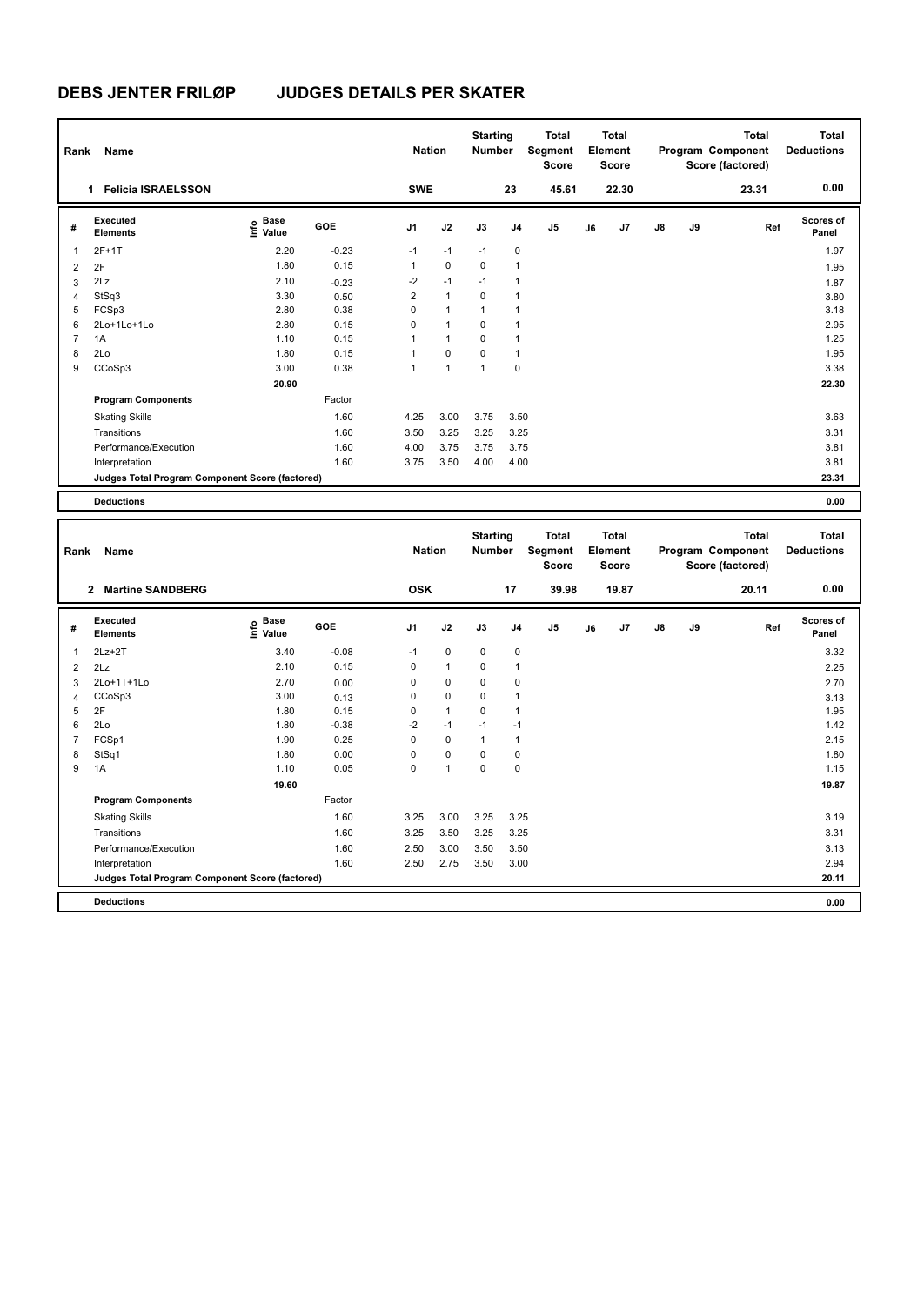**Program Components** 

### **DEBS JENTER FRILØP JUDGES DETAILS PER SKATER**

| Rank                    | Name                                            |                   |         |                | <b>Nation</b> | <b>Starting</b><br><b>Number</b> |              | <b>Total</b><br>Segment<br>Score |    | <b>Total</b><br>Element<br><b>Score</b> |    |    | <b>Total</b><br>Program Component<br>Score (factored) | <b>Total</b><br><b>Deductions</b> |
|-------------------------|-------------------------------------------------|-------------------|---------|----------------|---------------|----------------------------------|--------------|----------------------------------|----|-----------------------------------------|----|----|-------------------------------------------------------|-----------------------------------|
|                         | 1 Felicia ISRAELSSON                            |                   |         | <b>SWE</b>     |               |                                  | 23           | 45.61                            |    | 22.30                                   |    |    | 23.31                                                 | 0.00                              |
| #                       | Executed<br><b>Elements</b>                     | e Base<br>⊑ Value | GOE     | J1             | J2            | J3                               | J4           | J <sub>5</sub>                   | J6 | J7                                      | J8 | J9 | Ref                                                   | Scores of<br>Panel                |
| 1                       | 2F+1T                                           | 2.20              | $-0.23$ | $-1$           | $-1$          | $-1$                             | 0            |                                  |    |                                         |    |    |                                                       | 1.97                              |
| $\overline{2}$          | 2F                                              | 1.80              | 0.15    | $\mathbf{1}$   | $\mathbf 0$   | $\mathbf 0$                      | $\mathbf{1}$ |                                  |    |                                         |    |    |                                                       | 1.95                              |
| 3                       | 2Lz                                             | 2.10              | $-0.23$ | $-2$           | $-1$          | $-1$                             | 1            |                                  |    |                                         |    |    |                                                       | 1.87                              |
| $\overline{4}$          | StSq3                                           | 3.30              | 0.50    | $\overline{2}$ | $\mathbf{1}$  | $\mathbf 0$                      | $\mathbf{1}$ |                                  |    |                                         |    |    |                                                       | 3.80                              |
| 5                       | FCSp3                                           | 2.80              | 0.38    | $\mathbf 0$    | $\mathbf{1}$  | $\mathbf{1}$                     | $\mathbf{1}$ |                                  |    |                                         |    |    |                                                       | 3.18                              |
| 6                       | 2Lo+1Lo+1Lo                                     | 2.80              | 0.15    | $\mathbf 0$    | $\mathbf{1}$  | $\mathbf 0$                      | $\mathbf{1}$ |                                  |    |                                         |    |    |                                                       | 2.95                              |
| $\overline{7}$          | 1A                                              | 1.10              | 0.15    | $\mathbf{1}$   | $\mathbf{1}$  | $\mathbf 0$                      | $\mathbf{1}$ |                                  |    |                                         |    |    |                                                       | 1.25                              |
| 8                       | 2Lo                                             | 1.80              | 0.15    | $\mathbf{1}$   | $\mathbf 0$   | $\mathbf 0$                      | $\mathbf{1}$ |                                  |    |                                         |    |    |                                                       | 1.95                              |
| 9                       | CCoSp3                                          | 3.00              | 0.38    | $\mathbf{1}$   | $\mathbf{1}$  | $\mathbf{1}$                     | $\mathbf 0$  |                                  |    |                                         |    |    |                                                       | 3.38                              |
|                         |                                                 | 20.90             |         |                |               |                                  |              |                                  |    |                                         |    |    |                                                       | 22.30                             |
|                         | <b>Program Components</b>                       |                   | Factor  |                |               |                                  |              |                                  |    |                                         |    |    |                                                       |                                   |
|                         | <b>Skating Skills</b>                           |                   | 1.60    | 4.25           | 3.00          | 3.75                             | 3.50         |                                  |    |                                         |    |    |                                                       | 3.63                              |
|                         | Transitions                                     |                   | 1.60    | 3.50           | 3.25          | 3.25                             | 3.25         |                                  |    |                                         |    |    |                                                       | 3.31                              |
|                         | Performance/Execution                           |                   | 1.60    | 4.00           | 3.75          | 3.75                             | 3.75         |                                  |    |                                         |    |    |                                                       | 3.81                              |
|                         | Interpretation                                  |                   | 1.60    | 3.75           | 3.50          | 4.00                             | 4.00         |                                  |    |                                         |    |    |                                                       | 3.81                              |
|                         | Judges Total Program Component Score (factored) |                   |         |                |               |                                  |              |                                  |    |                                         |    |    |                                                       | 23.31                             |
|                         | <b>Deductions</b>                               |                   |         |                |               |                                  |              |                                  |    |                                         |    |    |                                                       | 0.00                              |
|                         |                                                 |                   |         |                |               |                                  |              |                                  |    |                                         |    |    |                                                       |                                   |
|                         |                                                 |                   |         |                |               | <b>Starting</b>                  |              | <b>Total</b>                     |    | <b>Total</b>                            |    |    | <b>Total</b>                                          | <b>Total</b>                      |
| Rank                    | Name                                            |                   |         |                | <b>Nation</b> | <b>Number</b>                    |              | Segment                          |    | Element                                 |    |    | Program Component                                     | <b>Deductions</b>                 |
|                         |                                                 |                   |         |                |               |                                  |              | Score                            |    | <b>Score</b>                            |    |    | Score (factored)                                      |                                   |
|                         | 2 Martine SANDBERG                              |                   |         | <b>OSK</b>     |               |                                  | 17           | 39.98                            |    | 19.87                                   |    |    | 20.11                                                 | 0.00                              |
| #                       | <b>Executed</b>                                 | e Base<br>E Value | GOE     | J1             | J2            | J3                               | J4           | J5                               | J6 | J7                                      | J8 | J9 | Ref                                                   | Scores of                         |
|                         | <b>Elements</b>                                 |                   |         |                |               |                                  |              |                                  |    |                                         |    |    |                                                       | Panel                             |
| $\overline{1}$          | $2Lz+2T$                                        | 3.40              | $-0.08$ | $-1$           | $\mathbf 0$   | $\mathbf 0$                      | 0            |                                  |    |                                         |    |    |                                                       | 3.32                              |
| $\overline{\mathbf{c}}$ | 2Lz                                             | 2.10              | 0.15    | 0              | $\mathbf{1}$  | $\mathbf 0$                      | 1            |                                  |    |                                         |    |    |                                                       | 2.25                              |
| 3                       | 2Lo+1T+1Lo                                      | 2.70              | 0.00    | $\Omega$       | $\mathbf 0$   | $\mathbf{0}$                     | 0            |                                  |    |                                         |    |    |                                                       | 2.70                              |
| 4                       | CCoSp3                                          | 3.00              | 0.13    | $\mathbf 0$    | 0             | $\mathbf 0$                      | 1            |                                  |    |                                         |    |    |                                                       | 3.13                              |
| 5                       | 2F                                              | 1.80              | 0.15    | $\mathbf 0$    | $\mathbf{1}$  | 0                                | $\mathbf{1}$ |                                  |    |                                         |    |    |                                                       | 1.95                              |
| 6                       | 2Lo                                             | 1.80              | $-0.38$ | $-2$           | $-1$          | $-1$                             | $-1$         |                                  |    |                                         |    |    |                                                       | 1.42                              |
| $\overline{7}$          | FCSp1                                           | 1.90              | 0.25    | $\mathbf 0$    | $\mathbf 0$   | $\mathbf{1}$                     | $\mathbf{1}$ |                                  |    |                                         |    |    |                                                       | 2.15                              |
| 8                       | StSq1                                           | 1.80              | 0.00    | $\mathbf 0$    | $\mathbf 0$   | $\mathbf 0$                      | $\mathsf 0$  |                                  |    |                                         |    |    |                                                       | 1.80                              |
| 9                       | 1A                                              | 1.10              | 0.05    | $\Omega$       | $\mathbf{1}$  | $\mathbf 0$                      | 0            |                                  |    |                                         |    |    |                                                       | 1.15                              |

Skating Skills 3.25 3.00 3.25 3.25 1.60 3.19

Transitions 1.60 3.25 3.50 3.25 3.25 3.31 Performance/Execution 1.60 2.50 3.00 3.50 3.50 3.13

**Deductions 0.00 Judges Total Program Component Score (factored) 20.11**

Factor

Interpretation 1.60 2.50 2.75 3.50 3.00

 **19.60 19.87**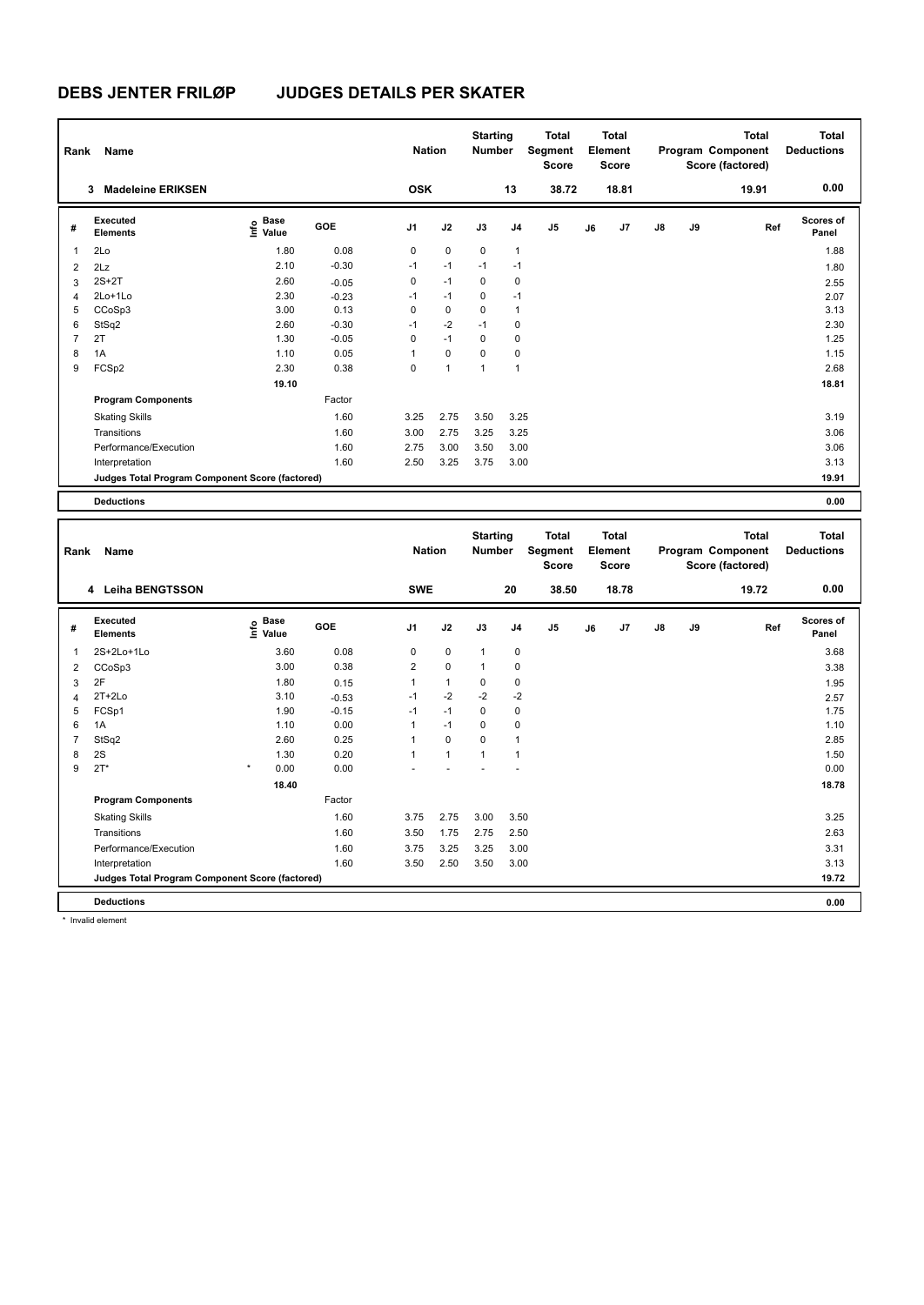| Rank           | Name                                            |                                  |            | <b>Nation</b>  |              | <b>Starting</b><br><b>Number</b> |                | <b>Total</b><br>Segment<br><b>Score</b> |    | <b>Total</b><br>Element<br><b>Score</b> |    |    | <b>Total</b><br>Program Component<br>Score (factored) | <b>Total</b><br><b>Deductions</b> |
|----------------|-------------------------------------------------|----------------------------------|------------|----------------|--------------|----------------------------------|----------------|-----------------------------------------|----|-----------------------------------------|----|----|-------------------------------------------------------|-----------------------------------|
|                | <b>Madeleine ERIKSEN</b><br>3                   |                                  |            | <b>OSK</b>     |              |                                  | 13             | 38.72                                   |    | 18.81                                   |    |    | 19.91                                                 | 0.00                              |
| #              | Executed<br><b>Elements</b>                     | <b>Base</b><br>e Base<br>⊑ Value | <b>GOE</b> | J <sub>1</sub> | J2           | J3                               | J <sub>4</sub> | J <sub>5</sub>                          | J6 | J <sub>7</sub>                          | J8 | J9 | Ref                                                   | <b>Scores of</b><br>Panel         |
| 1              | 2Lo                                             | 1.80                             | 0.08       | 0              | $\mathbf 0$  | $\mathbf 0$                      | $\mathbf{1}$   |                                         |    |                                         |    |    |                                                       | 1.88                              |
| $\overline{2}$ | 2Lz                                             | 2.10                             | $-0.30$    | $-1$           | $-1$         | $-1$                             | $-1$           |                                         |    |                                         |    |    |                                                       | 1.80                              |
| 3              | $2S+2T$                                         | 2.60                             | $-0.05$    | 0              | $-1$         | 0                                | 0              |                                         |    |                                         |    |    |                                                       | 2.55                              |
| 4              | 2Lo+1Lo                                         | 2.30                             | $-0.23$    | $-1$           | $-1$         | 0                                | $-1$           |                                         |    |                                         |    |    |                                                       | 2.07                              |
| 5              | CCoSp3                                          | 3.00                             | 0.13       | 0              | $\mathbf 0$  | 0                                | $\mathbf{1}$   |                                         |    |                                         |    |    |                                                       | 3.13                              |
| 6              | StSq2                                           | 2.60                             | $-0.30$    | $-1$           | $-2$         | $-1$                             | 0              |                                         |    |                                         |    |    |                                                       | 2.30                              |
| 7              | 2T                                              | 1.30                             | $-0.05$    | 0              | $-1$         | $\Omega$                         | 0              |                                         |    |                                         |    |    |                                                       | 1.25                              |
| 8              | 1A                                              | 1.10                             | 0.05       | 1              | $\mathbf 0$  | 0                                | 0              |                                         |    |                                         |    |    |                                                       | 1.15                              |
| 9              | FCSp2                                           | 2.30                             | 0.38       | 0              | $\mathbf{1}$ | $\mathbf{1}$                     | $\overline{1}$ |                                         |    |                                         |    |    |                                                       | 2.68                              |
|                |                                                 | 19.10                            |            |                |              |                                  |                |                                         |    |                                         |    |    |                                                       | 18.81                             |
|                | <b>Program Components</b>                       |                                  | Factor     |                |              |                                  |                |                                         |    |                                         |    |    |                                                       |                                   |
|                | <b>Skating Skills</b>                           |                                  | 1.60       | 3.25           | 2.75         | 3.50                             | 3.25           |                                         |    |                                         |    |    |                                                       | 3.19                              |
|                | Transitions                                     |                                  | 1.60       | 3.00           | 2.75         | 3.25                             | 3.25           |                                         |    |                                         |    |    |                                                       | 3.06                              |
|                | Performance/Execution                           |                                  | 1.60       | 2.75           | 3.00         | 3.50                             | 3.00           |                                         |    |                                         |    |    |                                                       | 3.06                              |
|                | Interpretation                                  |                                  | 1.60       | 2.50           | 3.25         | 3.75                             | 3.00           |                                         |    |                                         |    |    |                                                       | 3.13                              |
|                | Judges Total Program Component Score (factored) |                                  |            |                |              |                                  |                |                                         |    |                                         |    |    |                                                       | 19.91                             |
|                | <b>Deductions</b>                               |                                  |            |                |              |                                  |                |                                         |    |                                         |    |    |                                                       | 0.00                              |
|                |                                                 |                                  |            |                |              |                                  |                |                                         |    |                                         |    |    |                                                       |                                   |
| Rank           | Name                                            |                                  |            | <b>Nation</b>  |              | <b>Starting</b><br><b>Number</b> |                | <b>Total</b><br>Segment<br>Score        |    | <b>Total</b><br>Element<br>Score        |    |    | <b>Total</b><br>Program Component<br>Score (factored) | <b>Total</b><br><b>Deductions</b> |

| Rank                     | name                                            |                                  |         | Nation         |              | number       |                | əegment<br><b>Score</b> |    | <b>Element</b><br><b>Score</b> |               |    | Program Component<br>Score (factored) | <b>Deauctions</b>  |
|--------------------------|-------------------------------------------------|----------------------------------|---------|----------------|--------------|--------------|----------------|-------------------------|----|--------------------------------|---------------|----|---------------------------------------|--------------------|
|                          | 4 Leiha BENGTSSON                               |                                  |         | <b>SWE</b>     |              |              | 20             | 38.50                   |    | 18.78                          |               |    | 19.72                                 | 0.00               |
| #                        | Executed<br><b>Elements</b>                     | <b>Base</b><br>e Base<br>⊆ Value | GOE     | J <sub>1</sub> | J2           | J3           | J <sub>4</sub> | J5                      | J6 | J7                             | $\mathsf{J}8$ | J9 | Ref                                   | Scores of<br>Panel |
| $\overline{\phantom{a}}$ | 2S+2Lo+1Lo                                      | 3.60                             | 0.08    | 0              | 0            | $\mathbf{1}$ | $\pmb{0}$      |                         |    |                                |               |    |                                       | 3.68               |
| 2                        | CCoSp3                                          | 3.00                             | 0.38    | 2              | $\mathbf 0$  | 1            | 0              |                         |    |                                |               |    |                                       | 3.38               |
| 3                        | 2F                                              | 1.80                             | 0.15    | 1              | 1            | 0            | 0              |                         |    |                                |               |    |                                       | 1.95               |
| 4                        | $2T+2Lo$                                        | 3.10                             | $-0.53$ | $-1$           | $-2$         | $-2$         | $-2$           |                         |    |                                |               |    |                                       | 2.57               |
| 5                        | FCSp1                                           | 1.90                             | $-0.15$ | $-1$           | $-1$         | $\Omega$     | $\mathbf 0$    |                         |    |                                |               |    |                                       | 1.75               |
| 6                        | 1A                                              | 1.10                             | 0.00    | 1              | $-1$         | $\Omega$     | 0              |                         |    |                                |               |    |                                       | 1.10               |
| 7                        | StSq2                                           | 2.60                             | 0.25    | 1              | $\mathbf 0$  | $\Omega$     | 1              |                         |    |                                |               |    |                                       | 2.85               |
| 8                        | 2S                                              | 1.30                             | 0.20    | 1              | $\mathbf{1}$ | 1            | $\overline{1}$ |                         |    |                                |               |    |                                       | 1.50               |
| 9                        | $2T*$                                           | $\star$<br>0.00                  | 0.00    |                |              |              |                |                         |    |                                |               |    |                                       | 0.00               |
|                          |                                                 | 18.40                            |         |                |              |              |                |                         |    |                                |               |    |                                       | 18.78              |
|                          | <b>Program Components</b>                       |                                  | Factor  |                |              |              |                |                         |    |                                |               |    |                                       |                    |
|                          | <b>Skating Skills</b>                           |                                  | 1.60    | 3.75           | 2.75         | 3.00         | 3.50           |                         |    |                                |               |    |                                       | 3.25               |
|                          | Transitions                                     |                                  | 1.60    | 3.50           | 1.75         | 2.75         | 2.50           |                         |    |                                |               |    |                                       | 2.63               |
|                          | Performance/Execution                           |                                  | 1.60    | 3.75           | 3.25         | 3.25         | 3.00           |                         |    |                                |               |    |                                       | 3.31               |
|                          | Interpretation                                  |                                  | 1.60    | 3.50           | 2.50         | 3.50         | 3.00           |                         |    |                                |               |    |                                       | 3.13               |
|                          | Judges Total Program Component Score (factored) |                                  |         |                |              |              |                |                         |    |                                |               |    |                                       | 19.72              |
|                          | <b>Deductions</b>                               |                                  |         |                |              |              |                |                         |    |                                |               |    |                                       | 0.00               |

\* Invalid element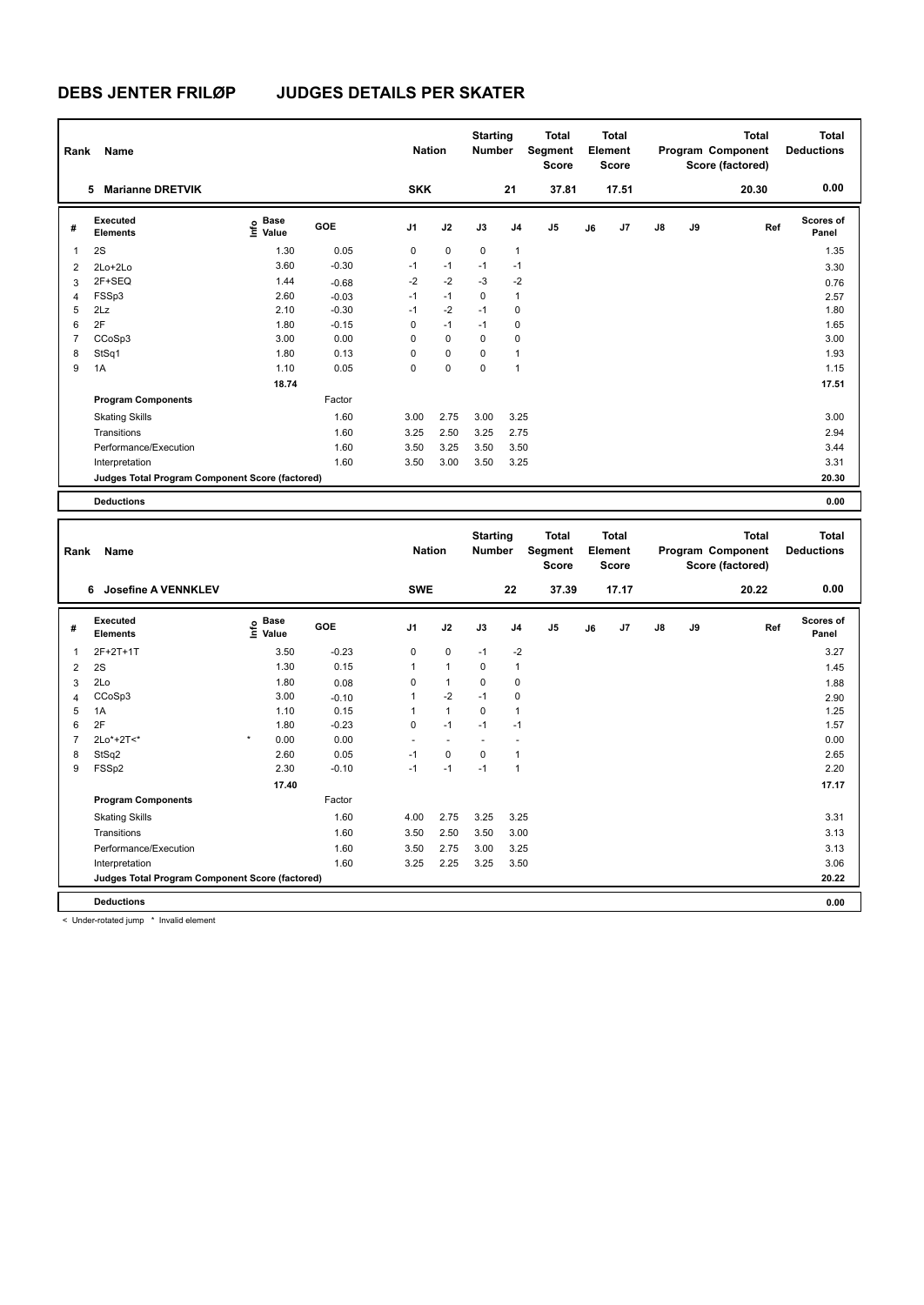| Rank           | Name                                            |                                  |         | <b>Nation</b>  |             | <b>Starting</b><br><b>Number</b> |                | <b>Total</b><br>Segment<br><b>Score</b> |    | <b>Total</b><br>Element<br><b>Score</b> |    |    | <b>Total</b><br>Program Component<br>Score (factored) | <b>Total</b><br><b>Deductions</b> |
|----------------|-------------------------------------------------|----------------------------------|---------|----------------|-------------|----------------------------------|----------------|-----------------------------------------|----|-----------------------------------------|----|----|-------------------------------------------------------|-----------------------------------|
|                | <b>Marianne DRETVIK</b><br>5                    |                                  |         | <b>SKK</b>     |             |                                  | 21             | 37.81                                   |    | 17.51                                   |    |    | 20.30                                                 | 0.00                              |
| #              | Executed<br><b>Elements</b>                     | <b>Base</b><br>e Base<br>E Value | GOE     | J <sub>1</sub> | J2          | J3                               | J <sub>4</sub> | J <sub>5</sub>                          | J6 | J7                                      | J8 | J9 | Ref                                                   | <b>Scores of</b><br>Panel         |
| 1              | 2S                                              | 1.30                             | 0.05    | 0              | $\pmb{0}$   | 0                                | $\mathbf{1}$   |                                         |    |                                         |    |    |                                                       | 1.35                              |
| 2              | $2Lo+2Lo$                                       | 3.60                             | $-0.30$ | $-1$           | $-1$        | $-1$                             | $-1$           |                                         |    |                                         |    |    |                                                       | 3.30                              |
| 3              | 2F+SEQ                                          | 1.44                             | $-0.68$ | $-2$           | $-2$        | $-3$                             | $-2$           |                                         |    |                                         |    |    |                                                       | 0.76                              |
| $\overline{4}$ | FSSp3                                           | 2.60                             | $-0.03$ | $-1$           | $-1$        | 0                                | $\mathbf{1}$   |                                         |    |                                         |    |    |                                                       | 2.57                              |
| 5              | 2Lz                                             | 2.10                             | $-0.30$ | $-1$           | $-2$        | $-1$                             | 0              |                                         |    |                                         |    |    |                                                       | 1.80                              |
| 6              | 2F                                              | 1.80                             | $-0.15$ | 0              | $-1$        | $-1$                             | 0              |                                         |    |                                         |    |    |                                                       | 1.65                              |
| 7              | CCoSp3                                          | 3.00                             | 0.00    | 0              | $\mathbf 0$ | $\mathbf 0$                      | 0              |                                         |    |                                         |    |    |                                                       | 3.00                              |
| 8              | StSq1                                           | 1.80                             | 0.13    | 0              | 0           | 0                                | 1              |                                         |    |                                         |    |    |                                                       | 1.93                              |
| 9              | 1A                                              | 1.10                             | 0.05    | 0              | 0           | 0                                | 1              |                                         |    |                                         |    |    |                                                       | 1.15                              |
|                |                                                 | 18.74                            |         |                |             |                                  |                |                                         |    |                                         |    |    |                                                       | 17.51                             |
|                | <b>Program Components</b>                       |                                  | Factor  |                |             |                                  |                |                                         |    |                                         |    |    |                                                       |                                   |
|                | <b>Skating Skills</b>                           |                                  | 1.60    | 3.00           | 2.75        | 3.00                             | 3.25           |                                         |    |                                         |    |    |                                                       | 3.00                              |
|                | Transitions                                     |                                  | 1.60    | 3.25           | 2.50        | 3.25                             | 2.75           |                                         |    |                                         |    |    |                                                       | 2.94                              |
|                | Performance/Execution                           |                                  | 1.60    | 3.50           | 3.25        | 3.50                             | 3.50           |                                         |    |                                         |    |    |                                                       | 3.44                              |
|                | Interpretation                                  |                                  | 1.60    | 3.50           | 3.00        | 3.50                             | 3.25           |                                         |    |                                         |    |    |                                                       | 3.31                              |
|                | Judges Total Program Component Score (factored) |                                  |         |                |             |                                  |                |                                         |    |                                         |    |    |                                                       | 20.30                             |
|                |                                                 |                                  |         |                |             |                                  |                |                                         |    |                                         |    |    |                                                       |                                   |
|                | <b>Deductions</b>                               |                                  |         |                |             |                                  |                |                                         |    |                                         |    |    |                                                       | 0.00                              |
| Rank           | Name                                            |                                  |         | <b>Nation</b>  |             | <b>Starting</b><br><b>Number</b> |                | <b>Total</b><br>Segment<br><b>Score</b> |    | <b>Total</b><br>Element<br><b>Score</b> |    |    | <b>Total</b><br>Program Component<br>Score (factored) | <b>Total</b><br><b>Deductions</b> |

| Rank           | Name                                            |                           |         | Nation                   |              | Number   |                | segment<br><b>Score</b> |    | <b>Element</b><br>Score |               |    | Program Component<br>Score (factored) | <b>Deductions</b>  |
|----------------|-------------------------------------------------|---------------------------|---------|--------------------------|--------------|----------|----------------|-------------------------|----|-------------------------|---------------|----|---------------------------------------|--------------------|
|                | <b>Josefine A VENNKLEV</b><br>6                 |                           |         | <b>SWE</b>               |              |          | 22             | 37.39                   |    | 17.17                   |               |    | 20.22                                 | 0.00               |
| #              | Executed<br><b>Elements</b>                     | Base<br>e Base<br>⊆ Value | GOE     | J <sub>1</sub>           | J2           | J3       | J <sub>4</sub> | J5                      | J6 | J7                      | $\mathsf{J}8$ | J9 | Ref                                   | Scores of<br>Panel |
| -1             | 2F+2T+1T                                        | 3.50                      | $-0.23$ | 0                        | 0            | $-1$     | $-2$           |                         |    |                         |               |    |                                       | 3.27               |
| $\overline{2}$ | 2S                                              | 1.30                      | 0.15    | 1                        | $\mathbf{1}$ | 0        | $\mathbf{1}$   |                         |    |                         |               |    |                                       | 1.45               |
| 3              | 2Lo                                             | 1.80                      | 0.08    | 0                        | 1            | 0        | 0              |                         |    |                         |               |    |                                       | 1.88               |
| 4              | CCoSp3                                          | 3.00                      | $-0.10$ | 1                        | $-2$         | $-1$     | 0              |                         |    |                         |               |    |                                       | 2.90               |
| 5              | 1A                                              | 1.10                      | 0.15    | 1                        | $\mathbf{1}$ | $\Omega$ | $\mathbf{1}$   |                         |    |                         |               |    |                                       | 1.25               |
| 6              | 2F                                              | 1.80                      | $-0.23$ | 0                        | $-1$         | $-1$     | $-1$           |                         |    |                         |               |    |                                       | 1.57               |
|                | 2Lo*+2T<*                                       | $\star$<br>0.00           | 0.00    | $\overline{\phantom{a}}$ |              |          |                |                         |    |                         |               |    |                                       | 0.00               |
| 8              | StSq2                                           | 2.60                      | 0.05    | $-1$                     | 0            | 0        | 1              |                         |    |                         |               |    |                                       | 2.65               |
| 9              | FSSp2                                           | 2.30                      | $-0.10$ | $-1$                     | $-1$         | $-1$     | $\mathbf{1}$   |                         |    |                         |               |    |                                       | 2.20               |
|                |                                                 | 17.40                     |         |                          |              |          |                |                         |    |                         |               |    |                                       | 17.17              |
|                | <b>Program Components</b>                       |                           | Factor  |                          |              |          |                |                         |    |                         |               |    |                                       |                    |
|                | <b>Skating Skills</b>                           |                           | 1.60    | 4.00                     | 2.75         | 3.25     | 3.25           |                         |    |                         |               |    |                                       | 3.31               |
|                | Transitions                                     |                           | 1.60    | 3.50                     | 2.50         | 3.50     | 3.00           |                         |    |                         |               |    |                                       | 3.13               |
|                | Performance/Execution                           |                           | 1.60    | 3.50                     | 2.75         | 3.00     | 3.25           |                         |    |                         |               |    |                                       | 3.13               |
|                | Interpretation                                  |                           | 1.60    | 3.25                     | 2.25         | 3.25     | 3.50           |                         |    |                         |               |    |                                       | 3.06               |
|                | Judges Total Program Component Score (factored) |                           |         |                          |              |          |                |                         |    |                         |               |    |                                       | 20.22              |
|                | <b>Deductions</b>                               |                           |         |                          |              |          |                |                         |    |                         |               |    |                                       | 0.00               |

< Under-rotated jump \* Invalid element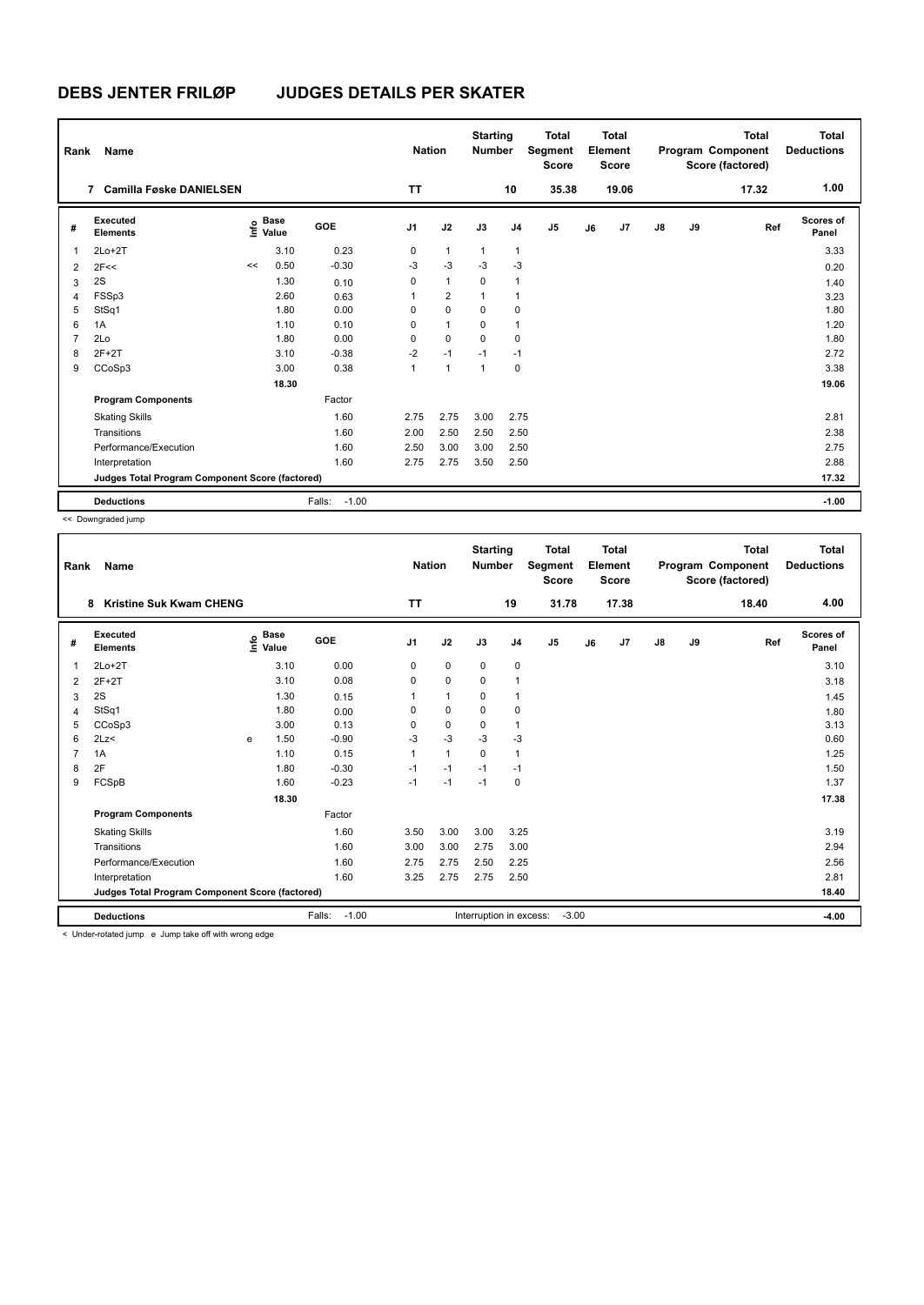| Rank           | Name                                            |      |                      |                   | <b>Nation</b>  |                | <b>Starting</b><br><b>Number</b> |                | <b>Total</b><br>Segment<br><b>Score</b> |    | Total<br>Element<br><b>Score</b> |               |    | Total<br>Program Component<br>Score (factored) | <b>Total</b><br><b>Deductions</b> |
|----------------|-------------------------------------------------|------|----------------------|-------------------|----------------|----------------|----------------------------------|----------------|-----------------------------------------|----|----------------------------------|---------------|----|------------------------------------------------|-----------------------------------|
|                | <b>Camilla Føske DANIELSEN</b><br>7             |      |                      |                   | <b>TT</b>      |                |                                  | 10             | 35.38                                   |    | 19.06                            |               |    | 17.32                                          | 1.00                              |
| #              | Executed<br><b>Elements</b>                     | ١nfo | <b>Base</b><br>Value | GOE               | J <sub>1</sub> | J2             | J3                               | J4             | J <sub>5</sub>                          | J6 | J7                               | $\mathsf{J}8$ | J9 | Ref                                            | Scores of<br>Panel                |
| $\mathbf 1$    | $2Lo+2T$                                        |      | 3.10                 | 0.23              | 0              | $\mathbf{1}$   | $\mathbf{1}$                     | $\overline{1}$ |                                         |    |                                  |               |    |                                                | 3.33                              |
| $\overline{2}$ | 2F<<                                            | <<   | 0.50                 | $-0.30$           | $-3$           | $-3$           | $-3$                             | $-3$           |                                         |    |                                  |               |    |                                                | 0.20                              |
| 3              | 2S                                              |      | 1.30                 | 0.10              | 0              | $\mathbf{1}$   | $\mathbf 0$                      | $\overline{1}$ |                                         |    |                                  |               |    |                                                | 1.40                              |
| 4              | FSSp3                                           |      | 2.60                 | 0.63              | 1              | $\overline{2}$ | -1                               | $\overline{1}$ |                                         |    |                                  |               |    |                                                | 3.23                              |
| 5              | StSq1                                           |      | 1.80                 | 0.00              | 0              | $\mathbf 0$    | 0                                | 0              |                                         |    |                                  |               |    |                                                | 1.80                              |
| 6              | 1A                                              |      | 1.10                 | 0.10              | 0              | $\mathbf{1}$   | $\Omega$                         | $\overline{1}$ |                                         |    |                                  |               |    |                                                | 1.20                              |
| $\overline{7}$ | 2Lo                                             |      | 1.80                 | 0.00              | 0              | $\mathbf 0$    | $\mathbf 0$                      | $\mathbf 0$    |                                         |    |                                  |               |    |                                                | 1.80                              |
| 8              | $2F+2T$                                         |      | 3.10                 | $-0.38$           | $-2$           | $-1$           | $-1$                             | $-1$           |                                         |    |                                  |               |    |                                                | 2.72                              |
| 9              | CCoSp3                                          |      | 3.00                 | 0.38              | $\mathbf{1}$   | $\mathbf{1}$   | 1                                | 0              |                                         |    |                                  |               |    |                                                | 3.38                              |
|                |                                                 |      | 18.30                |                   |                |                |                                  |                |                                         |    |                                  |               |    |                                                | 19.06                             |
|                | <b>Program Components</b>                       |      |                      | Factor            |                |                |                                  |                |                                         |    |                                  |               |    |                                                |                                   |
|                | <b>Skating Skills</b>                           |      |                      | 1.60              | 2.75           | 2.75           | 3.00                             | 2.75           |                                         |    |                                  |               |    |                                                | 2.81                              |
|                | Transitions                                     |      |                      | 1.60              | 2.00           | 2.50           | 2.50                             | 2.50           |                                         |    |                                  |               |    |                                                | 2.38                              |
|                | Performance/Execution                           |      |                      | 1.60              | 2.50           | 3.00           | 3.00                             | 2.50           |                                         |    |                                  |               |    |                                                | 2.75                              |
|                | Interpretation                                  |      |                      | 1.60              | 2.75           | 2.75           | 3.50                             | 2.50           |                                         |    |                                  |               |    |                                                | 2.88                              |
|                | Judges Total Program Component Score (factored) |      |                      |                   |                |                |                                  |                |                                         |    |                                  |               |    |                                                | 17.32                             |
|                | <b>Deductions</b>                               |      |                      | $-1.00$<br>Falls: |                |                |                                  |                |                                         |    |                                  |               |    |                                                | $-1.00$                           |

<< Downgraded jump

| Rank | Name                                            |   |                                  |                   | <b>Nation</b>  |              | <b>Starting</b><br><b>Number</b> |                | <b>Total</b><br>Segment<br><b>Score</b> |    | Total<br>Element<br><b>Score</b> |    |    | <b>Total</b><br>Program Component<br>Score (factored) | Total<br><b>Deductions</b> |
|------|-------------------------------------------------|---|----------------------------------|-------------------|----------------|--------------|----------------------------------|----------------|-----------------------------------------|----|----------------------------------|----|----|-------------------------------------------------------|----------------------------|
|      | <b>Kristine Suk Kwam CHENG</b><br>8             |   |                                  |                   | <b>TT</b>      |              |                                  | 19             | 31.78                                   |    | 17.38                            |    |    | 18.40                                                 | 4.00                       |
| #    | Executed<br><b>Elements</b>                     |   | <b>Base</b><br>e Base<br>⊆ Value | GOE               | J <sub>1</sub> | J2           | J3                               | J <sub>4</sub> | J5                                      | J6 | J7                               | J8 | J9 | Ref                                                   | <b>Scores of</b><br>Panel  |
| 1    | $2Lo+2T$                                        |   | 3.10                             | 0.00              | 0              | 0            | 0                                | 0              |                                         |    |                                  |    |    |                                                       | 3.10                       |
| 2    | $2F+2T$                                         |   | 3.10                             | 0.08              | $\Omega$       | $\mathbf 0$  | $\Omega$                         | $\mathbf{1}$   |                                         |    |                                  |    |    |                                                       | 3.18                       |
| 3    | 2S                                              |   | 1.30                             | 0.15              |                | $\mathbf{1}$ | 0                                | $\mathbf{1}$   |                                         |    |                                  |    |    |                                                       | 1.45                       |
| 4    | StSq1                                           |   | 1.80                             | 0.00              | $\Omega$       | 0            | $\Omega$                         | 0              |                                         |    |                                  |    |    |                                                       | 1.80                       |
| 5    | CCoSp3                                          |   | 3.00                             | 0.13              | $\Omega$       | $\mathbf 0$  | $\mathbf 0$                      | $\mathbf{1}$   |                                         |    |                                  |    |    |                                                       | 3.13                       |
| 6    | 2Lz<                                            | e | 1.50                             | $-0.90$           | $-3$           | $-3$         | $-3$                             | $-3$           |                                         |    |                                  |    |    |                                                       | 0.60                       |
| 7    | 1A                                              |   | 1.10                             | 0.15              |                | $\mathbf{1}$ | $\Omega$                         | $\mathbf{1}$   |                                         |    |                                  |    |    |                                                       | 1.25                       |
| 8    | 2F                                              |   | 1.80                             | $-0.30$           | $-1$           | $-1$         | $-1$                             | $-1$           |                                         |    |                                  |    |    |                                                       | 1.50                       |
| 9    | FCSpB                                           |   | 1.60                             | $-0.23$           | $-1$           | $-1$         | $-1$                             | $\Omega$       |                                         |    |                                  |    |    |                                                       | 1.37                       |
|      |                                                 |   | 18.30                            |                   |                |              |                                  |                |                                         |    |                                  |    |    |                                                       | 17.38                      |
|      | <b>Program Components</b>                       |   |                                  | Factor            |                |              |                                  |                |                                         |    |                                  |    |    |                                                       |                            |
|      | <b>Skating Skills</b>                           |   |                                  | 1.60              | 3.50           | 3.00         | 3.00                             | 3.25           |                                         |    |                                  |    |    |                                                       | 3.19                       |
|      | Transitions                                     |   |                                  | 1.60              | 3.00           | 3.00         | 2.75                             | 3.00           |                                         |    |                                  |    |    |                                                       | 2.94                       |
|      | Performance/Execution                           |   |                                  | 1.60              | 2.75           | 2.75         | 2.50                             | 2.25           |                                         |    |                                  |    |    |                                                       | 2.56                       |
|      | Interpretation                                  |   |                                  | 1.60              | 3.25           | 2.75         | 2.75                             | 2.50           |                                         |    |                                  |    |    |                                                       | 2.81                       |
|      | Judges Total Program Component Score (factored) |   |                                  |                   |                |              |                                  |                |                                         |    |                                  |    |    |                                                       | 18.40                      |
|      | <b>Deductions</b><br>$-44$<br>$\sim$ $\sim$     |   |                                  | Falls:<br>$-1.00$ |                |              | Interruption in excess:          |                | $-3.00$                                 |    |                                  |    |    |                                                       | $-4.00$                    |

< Under-rotated jump e Jump take off with wrong edge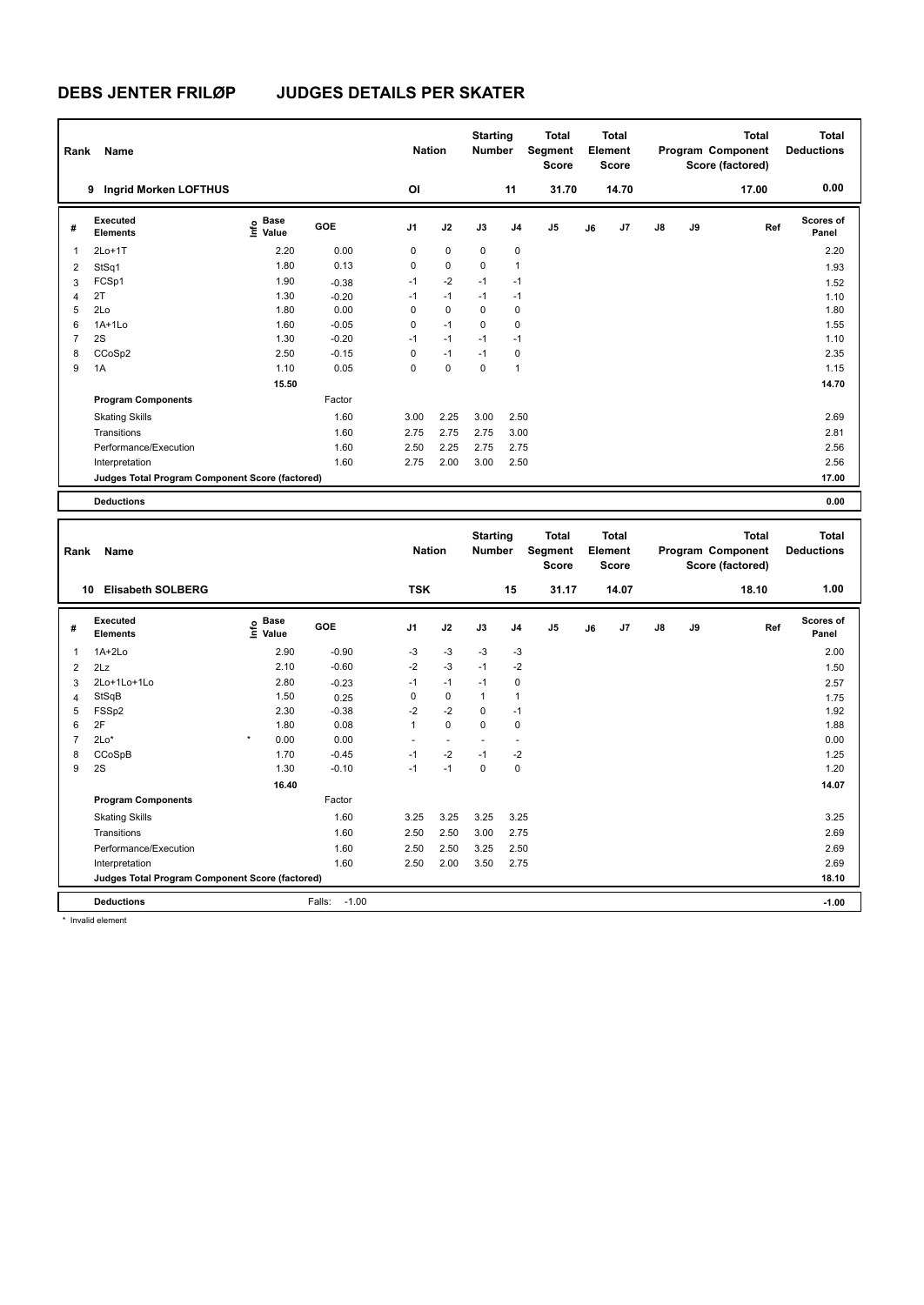| Rank | Name                                            |                   |            | <b>Nation</b>     |             | <b>Starting</b><br><b>Number</b>                                  |                | <b>Total</b><br>Segment<br><b>Score</b> |          | <b>Total</b><br>Element<br><b>Score</b> |    |                 | <b>Total</b><br>Program Component<br>Score (factored) | <b>Total</b><br><b>Deductions</b> |
|------|-------------------------------------------------|-------------------|------------|-------------------|-------------|-------------------------------------------------------------------|----------------|-----------------------------------------|----------|-----------------------------------------|----|-----------------|-------------------------------------------------------|-----------------------------------|
|      | Ingrid Morken LOFTHUS<br>9                      |                   |            | OI                |             |                                                                   | 11             | 31.70                                   |          | 14.70                                   |    |                 | 17.00                                                 | 0.00                              |
| #    | Executed<br><b>Elements</b>                     | e Base<br>E Value | <b>GOE</b> | J <sub>1</sub>    | J2          | J3                                                                | J <sub>4</sub> | J <sub>5</sub>                          | J6       | J <sub>7</sub>                          | J8 | J9              | Ref                                                   | <b>Scores of</b><br>Panel         |
| 1    | $2Lo+1T$                                        | 2.20              | 0.00       | 0                 | $\pmb{0}$   | $\mathbf 0$                                                       | $\mathbf 0$    |                                         |          |                                         |    |                 |                                                       | 2.20                              |
| 2    | StSq1                                           | 1.80              | 0.13       | 0                 | $\mathbf 0$ | 0                                                                 | 1              |                                         |          |                                         |    |                 |                                                       | 1.93                              |
| 3    | FCSp1                                           | 1.90              | $-0.38$    | $-1$              | $-2$        | $-1$                                                              | $-1$           |                                         |          |                                         |    |                 |                                                       | 1.52                              |
| 4    | 2T                                              | 1.30              | $-0.20$    | $-1$              | $-1$        | $-1$                                                              | $-1$           |                                         |          |                                         |    |                 |                                                       | 1.10                              |
| 5    | 2Lo                                             | 1.80              | 0.00       | 0                 | 0           | 0                                                                 | 0              |                                         |          |                                         |    |                 |                                                       | 1.80                              |
| 6    | $1A+1L0$                                        | 1.60              | $-0.05$    | 0                 | $-1$        | $\Omega$                                                          | 0              |                                         |          |                                         |    |                 |                                                       | 1.55                              |
| 7    | 2S                                              | 1.30              | $-0.20$    | $-1$              | $-1$        | $-1$                                                              | $-1$           |                                         |          |                                         |    |                 |                                                       | 1.10                              |
| 8    | CCoSp2                                          | 2.50              | $-0.15$    | 0                 | $-1$        | $-1$                                                              | 0              |                                         |          |                                         |    |                 |                                                       | 2.35                              |
| 9    | 1A                                              | 1.10              | 0.05       | $\Omega$          | $\mathbf 0$ | 0                                                                 | 1              |                                         |          |                                         |    |                 |                                                       | 1.15                              |
|      |                                                 | 15.50             |            |                   |             |                                                                   |                |                                         |          |                                         |    |                 |                                                       | 14.70                             |
|      | <b>Program Components</b>                       |                   | Factor     |                   |             |                                                                   |                |                                         |          |                                         |    |                 |                                                       |                                   |
|      | <b>Skating Skills</b>                           |                   | 1.60       | 3.00              | 2.25        | 3.00                                                              | 2.50           |                                         |          |                                         |    |                 |                                                       | 2.69                              |
|      | Transitions                                     |                   | 1.60       | 2.75              | 2.75        | 2.75                                                              | 3.00           |                                         |          |                                         |    |                 |                                                       | 2.81                              |
|      | Performance/Execution                           |                   | 1.60       | 2.50              | 2.25        | 2.75                                                              | 2.75           |                                         |          |                                         |    |                 |                                                       | 2.56                              |
|      | Interpretation                                  |                   | 1.60       | 2.75              | 2.00        | 3.00                                                              | 2.50           |                                         |          |                                         |    |                 |                                                       | 2.56                              |
|      | Judges Total Program Component Score (factored) |                   |            |                   |             |                                                                   |                |                                         |          |                                         |    |                 |                                                       | 17.00                             |
|      | <b>Deductions</b>                               |                   |            |                   |             |                                                                   |                |                                         |          |                                         |    |                 |                                                       | 0.00                              |
|      |                                                 |                   |            |                   |             |                                                                   |                |                                         |          |                                         |    |                 |                                                       |                                   |
|      | <b>Provident Control</b>                        |                   |            | $1.1 - 4.5 - 1.7$ |             | <b>Starting</b><br>$M_{\rm{2}}$ and $M_{\rm{2}}$ and $M_{\rm{2}}$ |                | <b>Total</b>                            | $-1 - 1$ | <b>Total</b>                            |    | <b>Donation</b> | <b>Total</b><br>$\sim$                                | <b>Total</b><br>Produced a        |

| Rank           | Name                                            |                                  |                   | <b>Nation</b>  |             | <b>Number</b> |                | Segment<br>Score |    | Element<br><b>Score</b> |               |    | Program Component<br>Score (factored) | <b>Deductions</b>         |
|----------------|-------------------------------------------------|----------------------------------|-------------------|----------------|-------------|---------------|----------------|------------------|----|-------------------------|---------------|----|---------------------------------------|---------------------------|
| 10             | <b>Elisabeth SOLBERG</b>                        |                                  |                   | <b>TSK</b>     |             |               | 15             | 31.17            |    | 14.07                   |               |    | 18.10                                 | 1.00                      |
| #              | Executed<br><b>Elements</b>                     | <b>Base</b><br>e Base<br>⊆ Value | GOE               | J <sub>1</sub> | J2          | J3            | J <sub>4</sub> | J5               | J6 | J7                      | $\mathsf{J}8$ | J9 | Ref                                   | <b>Scores of</b><br>Panel |
| 1              | $1A+2Lo$                                        | 2.90                             | $-0.90$           | $-3$           | $-3$        | $-3$          | $-3$           |                  |    |                         |               |    |                                       | 2.00                      |
| 2              | 2Lz                                             | 2.10                             | $-0.60$           | $-2$           | $-3$        | $-1$          | $-2$           |                  |    |                         |               |    |                                       | 1.50                      |
| 3              | 2Lo+1Lo+1Lo                                     | 2.80                             | $-0.23$           | $-1$           | $-1$        | $-1$          | 0              |                  |    |                         |               |    |                                       | 2.57                      |
| $\overline{4}$ | StSqB                                           | 1.50                             | 0.25              | 0              | $\mathbf 0$ | $\mathbf 1$   | 1              |                  |    |                         |               |    |                                       | 1.75                      |
| 5              | FSSp2                                           | 2.30                             | $-0.38$           | $-2$           | $-2$        | $\Omega$      | $-1$           |                  |    |                         |               |    |                                       | 1.92                      |
| 6              | 2F                                              | 1.80                             | 0.08              | 1              | $\mathbf 0$ | $\Omega$      | $\mathbf 0$    |                  |    |                         |               |    |                                       | 1.88                      |
| 7              | $2Lo*$                                          | $\star$<br>0.00                  | 0.00              |                |             |               |                |                  |    |                         |               |    |                                       | 0.00                      |
| 8              | CCoSpB                                          | 1.70                             | $-0.45$           | $-1$           | $-2$        | $-1$          | $-2$           |                  |    |                         |               |    |                                       | 1.25                      |
| 9              | 2S                                              | 1.30                             | $-0.10$           | $-1$           | $-1$        | $\mathbf 0$   | 0              |                  |    |                         |               |    |                                       | 1.20                      |
|                |                                                 | 16.40                            |                   |                |             |               |                |                  |    |                         |               |    |                                       | 14.07                     |
|                | <b>Program Components</b>                       |                                  | Factor            |                |             |               |                |                  |    |                         |               |    |                                       |                           |
|                | <b>Skating Skills</b>                           |                                  | 1.60              | 3.25           | 3.25        | 3.25          | 3.25           |                  |    |                         |               |    |                                       | 3.25                      |
|                | Transitions                                     |                                  | 1.60              | 2.50           | 2.50        | 3.00          | 2.75           |                  |    |                         |               |    |                                       | 2.69                      |
|                | Performance/Execution                           |                                  | 1.60              | 2.50           | 2.50        | 3.25          | 2.50           |                  |    |                         |               |    |                                       | 2.69                      |
|                | Interpretation                                  |                                  | 1.60              | 2.50           | 2.00        | 3.50          | 2.75           |                  |    |                         |               |    |                                       | 2.69                      |
|                | Judges Total Program Component Score (factored) |                                  |                   |                |             |               |                |                  |    |                         |               |    |                                       | 18.10                     |
|                | <b>Deductions</b>                               |                                  | $-1.00$<br>Falls: |                |             |               |                |                  |    |                         |               |    |                                       | $-1.00$                   |

\* Invalid element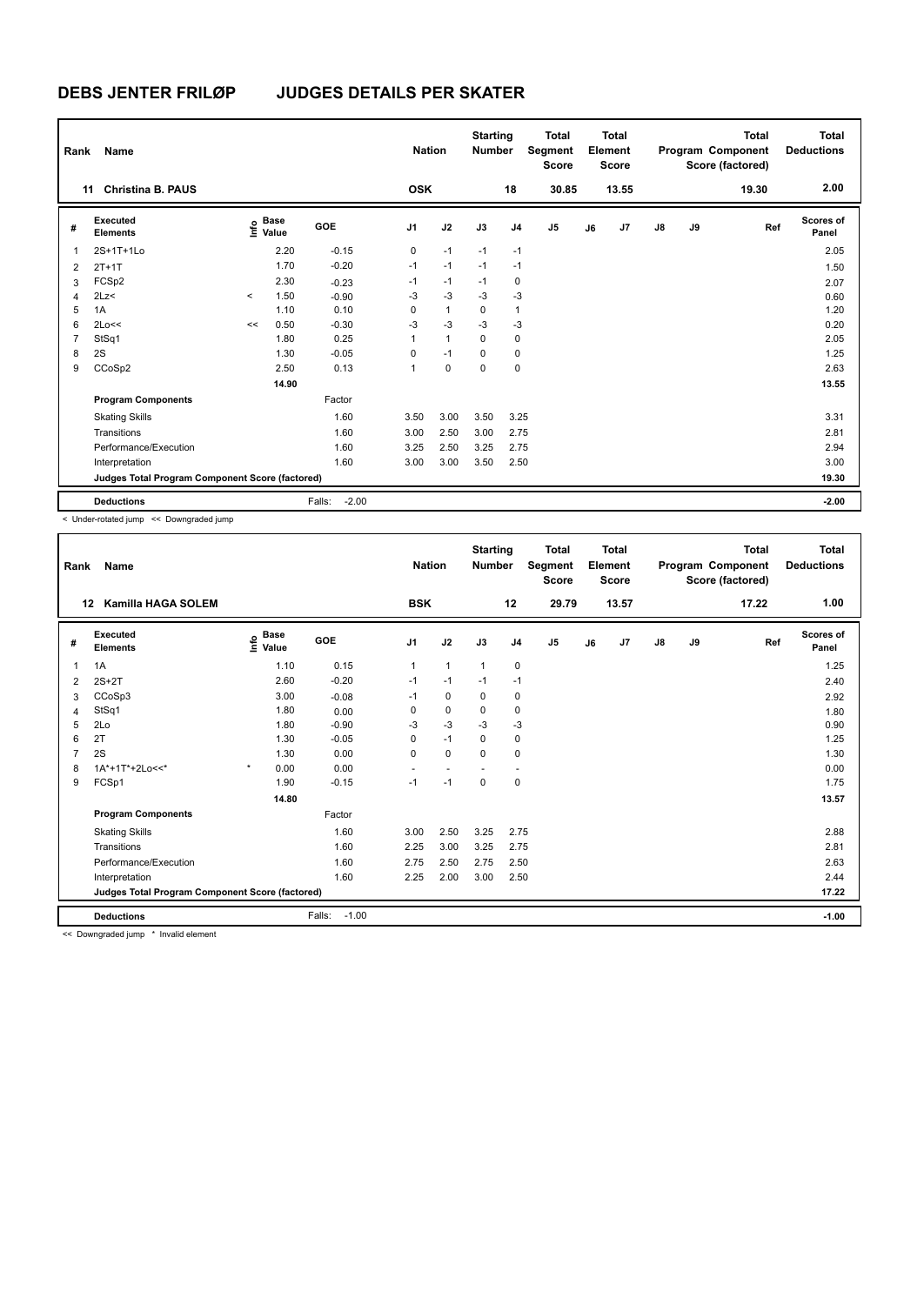| Rank           | Name                                            |         |                      |                   | <b>Nation</b>  |              | <b>Starting</b><br><b>Number</b> |                | <b>Total</b><br>Segment<br><b>Score</b> |    | <b>Total</b><br>Element<br><b>Score</b> |               |    | <b>Total</b><br>Program Component<br>Score (factored) | <b>Total</b><br><b>Deductions</b> |
|----------------|-------------------------------------------------|---------|----------------------|-------------------|----------------|--------------|----------------------------------|----------------|-----------------------------------------|----|-----------------------------------------|---------------|----|-------------------------------------------------------|-----------------------------------|
|                | <b>Christina B. PAUS</b><br>11                  |         |                      |                   | <b>OSK</b>     |              |                                  | 18             | 30.85                                   |    | 13.55                                   |               |    | 19.30                                                 | 2.00                              |
| #              | Executed<br><b>Elements</b>                     | ۴       | <b>Base</b><br>Value | <b>GOE</b>        | J <sub>1</sub> | J2           | J3                               | J <sub>4</sub> | J <sub>5</sub>                          | J6 | J7                                      | $\mathsf{J}8$ | J9 | Ref                                                   | Scores of<br>Panel                |
| $\mathbf{1}$   | 2S+1T+1Lo                                       |         | 2.20                 | $-0.15$           | 0              | $-1$         | $-1$                             | $-1$           |                                         |    |                                         |               |    |                                                       | 2.05                              |
| $\overline{2}$ | $2T+1T$                                         |         | 1.70                 | $-0.20$           | $-1$           | $-1$         | $-1$                             | $-1$           |                                         |    |                                         |               |    |                                                       | 1.50                              |
| 3              | FCSp2                                           |         | 2.30                 | $-0.23$           | $-1$           | $-1$         | $-1$                             | 0              |                                         |    |                                         |               |    |                                                       | 2.07                              |
| $\overline{4}$ | 2Lz<                                            | $\prec$ | 1.50                 | $-0.90$           | $-3$           | $-3$         | $-3$                             | $-3$           |                                         |    |                                         |               |    |                                                       | 0.60                              |
| 5              | 1A                                              |         | 1.10                 | 0.10              | 0              | $\mathbf{1}$ | 0                                | 1              |                                         |    |                                         |               |    |                                                       | 1.20                              |
| 6              | 2Lo<<                                           | <<      | 0.50                 | $-0.30$           | $-3$           | $-3$         | $-3$                             | $-3$           |                                         |    |                                         |               |    |                                                       | 0.20                              |
| $\overline{7}$ | StSq1                                           |         | 1.80                 | 0.25              | 1              | $\mathbf{1}$ | 0                                | 0              |                                         |    |                                         |               |    |                                                       | 2.05                              |
| 8              | 2S                                              |         | 1.30                 | $-0.05$           | 0              | $-1$         | $\Omega$                         | 0              |                                         |    |                                         |               |    |                                                       | 1.25                              |
| 9              | CCoSp2                                          |         | 2.50                 | 0.13              | 1              | $\mathbf 0$  | 0                                | 0              |                                         |    |                                         |               |    |                                                       | 2.63                              |
|                |                                                 |         | 14.90                |                   |                |              |                                  |                |                                         |    |                                         |               |    |                                                       | 13.55                             |
|                | <b>Program Components</b>                       |         |                      | Factor            |                |              |                                  |                |                                         |    |                                         |               |    |                                                       |                                   |
|                | <b>Skating Skills</b>                           |         |                      | 1.60              | 3.50           | 3.00         | 3.50                             | 3.25           |                                         |    |                                         |               |    |                                                       | 3.31                              |
|                | Transitions                                     |         |                      | 1.60              | 3.00           | 2.50         | 3.00                             | 2.75           |                                         |    |                                         |               |    |                                                       | 2.81                              |
|                | Performance/Execution                           |         |                      | 1.60              | 3.25           | 2.50         | 3.25                             | 2.75           |                                         |    |                                         |               |    |                                                       | 2.94                              |
|                | Interpretation                                  |         |                      | 1.60              | 3.00           | 3.00         | 3.50                             | 2.50           |                                         |    |                                         |               |    |                                                       | 3.00                              |
|                | Judges Total Program Component Score (factored) |         |                      |                   |                |              |                                  |                |                                         |    |                                         |               |    |                                                       | 19.30                             |
|                | <b>Deductions</b>                               |         |                      | $-2.00$<br>Falls: |                |              |                                  |                |                                         |    |                                         |               |    |                                                       | $-2.00$                           |

< Under-rotated jump << Downgraded jump

| Rank | Name                                            |                                  |                   | <b>Nation</b>  |              | <b>Starting</b><br><b>Number</b> |                | <b>Total</b><br>Segment<br><b>Score</b> |    | <b>Total</b><br>Element<br><b>Score</b> |               |    | <b>Total</b><br>Program Component<br>Score (factored) | <b>Total</b><br><b>Deductions</b> |
|------|-------------------------------------------------|----------------------------------|-------------------|----------------|--------------|----------------------------------|----------------|-----------------------------------------|----|-----------------------------------------|---------------|----|-------------------------------------------------------|-----------------------------------|
| 12   | Kamilla HAGA SOLEM                              |                                  |                   | <b>BSK</b>     |              |                                  | 12             | 29.79                                   |    | 13.57                                   |               |    | 17.22                                                 | 1.00                              |
| #    | Executed<br><b>Elements</b>                     | <b>Base</b><br>e Base<br>⊆ Value | GOE               | J <sub>1</sub> | J2           | J3                               | J <sub>4</sub> | J5                                      | J6 | J7                                      | $\mathsf{J}8$ | J9 | Ref                                                   | <b>Scores of</b><br>Panel         |
| 1    | 1A                                              | 1.10                             | 0.15              | $\mathbf{1}$   | $\mathbf{1}$ | 1                                | 0              |                                         |    |                                         |               |    |                                                       | 1.25                              |
| 2    | $2S+2T$                                         | 2.60                             | $-0.20$           | $-1$           | $-1$         | $-1$                             | $-1$           |                                         |    |                                         |               |    |                                                       | 2.40                              |
| 3    | CCoSp3                                          | 3.00                             | $-0.08$           | $-1$           | 0            | 0                                | 0              |                                         |    |                                         |               |    |                                                       | 2.92                              |
| 4    | StSq1                                           | 1.80                             | 0.00              | 0              | 0            | 0                                | 0              |                                         |    |                                         |               |    |                                                       | 1.80                              |
| 5    | 2Lo                                             | 1.80                             | $-0.90$           | $-3$           | $-3$         | $-3$                             | $-3$           |                                         |    |                                         |               |    |                                                       | 0.90                              |
| 6    | 2T                                              | 1.30                             | $-0.05$           | $\Omega$       | $-1$         | 0                                | $\mathbf 0$    |                                         |    |                                         |               |    |                                                       | 1.25                              |
|      | 2S                                              | 1.30                             | 0.00              | $\Omega$       | $\mathbf 0$  | $\Omega$                         | 0              |                                         |    |                                         |               |    |                                                       | 1.30                              |
| 8    | 1A*+1T*+2Lo<<*                                  | $\star$<br>0.00                  | 0.00              |                |              |                                  |                |                                         |    |                                         |               |    |                                                       | 0.00                              |
| 9    | FCSp1                                           | 1.90                             | $-0.15$           | $-1$           | $-1$         | $\mathbf 0$                      | $\mathbf 0$    |                                         |    |                                         |               |    |                                                       | 1.75                              |
|      |                                                 | 14.80                            |                   |                |              |                                  |                |                                         |    |                                         |               |    |                                                       | 13.57                             |
|      | <b>Program Components</b>                       |                                  | Factor            |                |              |                                  |                |                                         |    |                                         |               |    |                                                       |                                   |
|      | <b>Skating Skills</b>                           |                                  | 1.60              | 3.00           | 2.50         | 3.25                             | 2.75           |                                         |    |                                         |               |    |                                                       | 2.88                              |
|      | Transitions                                     |                                  | 1.60              | 2.25           | 3.00         | 3.25                             | 2.75           |                                         |    |                                         |               |    |                                                       | 2.81                              |
|      | Performance/Execution                           |                                  | 1.60              | 2.75           | 2.50         | 2.75                             | 2.50           |                                         |    |                                         |               |    |                                                       | 2.63                              |
|      | Interpretation                                  |                                  | 1.60              | 2.25           | 2.00         | 3.00                             | 2.50           |                                         |    |                                         |               |    |                                                       | 2.44                              |
|      | Judges Total Program Component Score (factored) |                                  |                   |                |              |                                  |                |                                         |    |                                         |               |    |                                                       | 17.22                             |
|      | <b>Deductions</b>                               |                                  | $-1.00$<br>Falls: |                |              |                                  |                |                                         |    |                                         |               |    |                                                       | $-1.00$                           |
|      | .                                               |                                  |                   |                |              |                                  |                |                                         |    |                                         |               |    |                                                       |                                   |

<< Downgraded jump \* Invalid element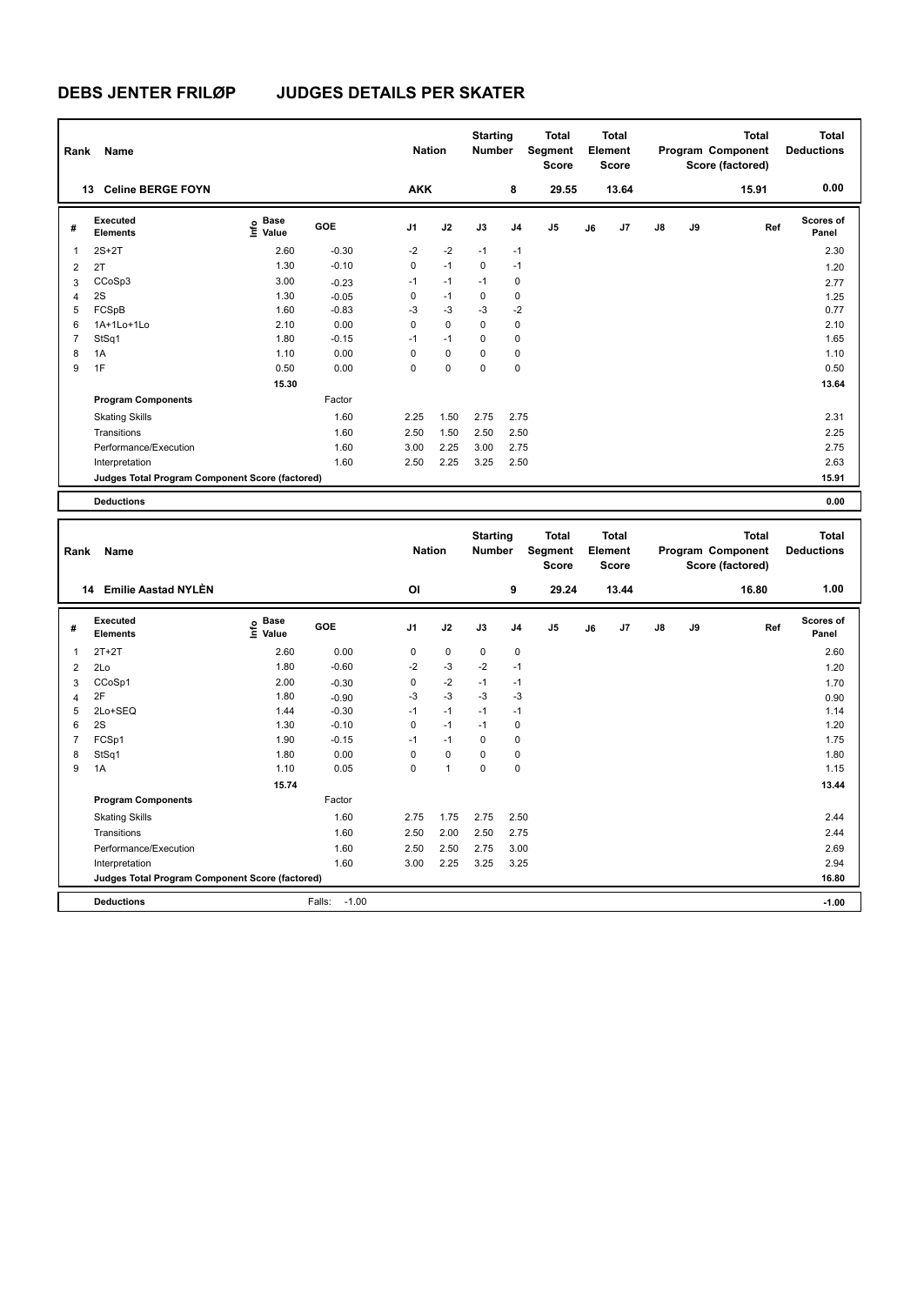**Program Components** 

### **DEBS JENTER FRILØP JUDGES DETAILS PER SKATER**

| Rank           | <b>Name</b>                                     |                                         |            |                | <b>Nation</b> | <b>Starting</b><br><b>Number</b> |                | <b>Total</b><br>Segment<br>Score |    | <b>Total</b><br>Element<br><b>Score</b> |    |    | <b>Total</b><br>Program Component<br>Score (factored) | <b>Total</b><br><b>Deductions</b> |
|----------------|-------------------------------------------------|-----------------------------------------|------------|----------------|---------------|----------------------------------|----------------|----------------------------------|----|-----------------------------------------|----|----|-------------------------------------------------------|-----------------------------------|
|                | 13 Celine BERGE FOYN                            |                                         |            | <b>AKK</b>     |               |                                  | 8              | 29.55                            |    | 13.64                                   |    |    | 15.91                                                 | 0.00                              |
| #              | <b>Executed</b><br><b>Elements</b>              | e Base<br>⊆ Value                       | GOE        | J <sub>1</sub> | J2            | J3                               | J <sub>4</sub> | J5                               | J6 | J7                                      | J8 | J9 | Ref                                                   | Scores of<br>Panel                |
| 1              | $2S+2T$                                         | 2.60                                    | $-0.30$    | $-2$           | $-2$          | $-1$                             | $-1$           |                                  |    |                                         |    |    |                                                       | 2.30                              |
| $\overline{2}$ | 2T                                              | 1.30                                    | $-0.10$    | $\mathbf 0$    | $-1$          | $\mathbf 0$                      | $-1$           |                                  |    |                                         |    |    |                                                       | 1.20                              |
| 3              | CCoSp3                                          | 3.00                                    | $-0.23$    | $-1$           | $-1$          | $-1$                             | $\mathbf 0$    |                                  |    |                                         |    |    |                                                       | 2.77                              |
| 4              | 2S                                              | 1.30                                    | $-0.05$    | $\mathbf 0$    | $-1$          | 0                                | 0              |                                  |    |                                         |    |    |                                                       | 1.25                              |
| 5              | FCSpB                                           | 1.60                                    | $-0.83$    | $-3$           | $-3$          | $-3$                             | $-2$           |                                  |    |                                         |    |    |                                                       | 0.77                              |
| 6              | 1A+1Lo+1Lo                                      | 2.10                                    | 0.00       | $\mathbf 0$    | $\mathbf 0$   | $\mathbf 0$                      | $\mathbf 0$    |                                  |    |                                         |    |    |                                                       | 2.10                              |
| $\overline{7}$ | StSq1                                           | 1.80                                    | $-0.15$    | $-1$           | $-1$          | 0                                | 0              |                                  |    |                                         |    |    |                                                       | 1.65                              |
| 8              | 1A                                              | 1.10                                    | 0.00       | $\mathbf 0$    | $\mathbf 0$   | $\mathbf 0$                      | $\mathbf 0$    |                                  |    |                                         |    |    |                                                       | 1.10                              |
| 9              | 1F                                              | 0.50                                    | 0.00       | $\mathbf 0$    | $\mathbf 0$   | $\mathbf 0$                      | 0              |                                  |    |                                         |    |    |                                                       | 0.50                              |
|                |                                                 | 15.30                                   |            |                |               |                                  |                |                                  |    |                                         |    |    |                                                       | 13.64                             |
|                | <b>Program Components</b>                       |                                         | Factor     |                |               |                                  |                |                                  |    |                                         |    |    |                                                       |                                   |
|                | <b>Skating Skills</b>                           |                                         | 1.60       | 2.25           | 1.50          | 2.75                             | 2.75           |                                  |    |                                         |    |    |                                                       | 2.31                              |
|                | Transitions                                     |                                         | 1.60       | 2.50           | 1.50          | 2.50                             | 2.50           |                                  |    |                                         |    |    |                                                       | 2.25                              |
|                | Performance/Execution                           |                                         | 1.60       | 3.00           | 2.25          | 3.00                             | 2.75           |                                  |    |                                         |    |    |                                                       | 2.75                              |
|                | Interpretation                                  |                                         | 1.60       | 2.50           | 2.25          | 3.25                             | 2.50           |                                  |    |                                         |    |    |                                                       | 2.63                              |
|                | Judges Total Program Component Score (factored) |                                         |            |                |               |                                  |                |                                  |    |                                         |    |    |                                                       | 15.91                             |
|                |                                                 |                                         |            |                |               |                                  |                |                                  |    |                                         |    |    |                                                       |                                   |
|                | <b>Deductions</b>                               |                                         |            |                |               |                                  |                |                                  |    |                                         |    |    |                                                       | 0.00                              |
|                |                                                 |                                         |            |                |               |                                  |                |                                  |    |                                         |    |    |                                                       |                                   |
|                |                                                 |                                         |            |                |               | <b>Starting</b>                  |                | <b>Total</b>                     |    | <b>Total</b>                            |    |    | <b>Total</b>                                          | <b>Total</b>                      |
| Rank           | Name                                            |                                         |            |                | <b>Nation</b> | <b>Number</b>                    |                | Segment<br>Score                 |    | Element<br>Score                        |    |    | Program Component<br>Score (factored)                 | <b>Deductions</b>                 |
|                |                                                 |                                         |            |                |               |                                  |                |                                  |    |                                         |    |    |                                                       |                                   |
|                | 14 Emilie Aastad NYLEN                          |                                         |            | OI             |               |                                  | 9              | 29.24                            |    | 13.44                                   |    |    | 16.80                                                 | 1.00                              |
| #              | Executed<br><b>Elements</b>                     | $\mathsf{E}$ Base<br>$\mathsf{E}$ Value | <b>GOE</b> | J1             | J2            | J3                               | J <sub>4</sub> | J5                               | J6 | J7                                      | J8 | J9 | Ref                                                   | Scores of<br>Panel                |
| 1              | $2T+2T$                                         | 2.60                                    | 0.00       | 0              | 0             | 0                                | 0              |                                  |    |                                         |    |    |                                                       | 2.60                              |
| $\overline{2}$ | 2Lo                                             | 1.80                                    | $-0.60$    | $-2$           | $-3$          | $-2$                             | $-1$           |                                  |    |                                         |    |    |                                                       | 1.20                              |
| 3              | CCoSp1                                          | 2.00                                    | $-0.30$    | $\mathbf 0$    | $-2$          | $-1$                             | $-1$           |                                  |    |                                         |    |    |                                                       | 1.70                              |
| 4              | 2F                                              | 1.80                                    | $-0.90$    | $-3$           | $-3$          | $-3$                             | $-3$           |                                  |    |                                         |    |    |                                                       | 0.90                              |
| 5              | 2Lo+SEQ                                         | 1.44                                    | $-0.30$    | $-1$           | $-1$          | $-1$                             | $-1$           |                                  |    |                                         |    |    |                                                       | 1.14                              |
| 6              | 2S                                              | 1.30                                    | $-0.10$    | 0              | $-1$          | $-1$                             | 0              |                                  |    |                                         |    |    |                                                       | 1.20                              |
| $\overline{7}$ | FCSp1                                           | 1.90                                    | $-0.15$    | $-1$           | $-1$          | $\mathbf 0$                      | 0              |                                  |    |                                         |    |    |                                                       | 1.75                              |
| 8              | StSq1                                           | 1.80                                    | 0.00       | $\Omega$       | $\Omega$      | $\mathbf{0}$                     | $\mathbf 0$    |                                  |    |                                         |    |    |                                                       | 1.80                              |
| 9              | 1A                                              | 1.10                                    | 0.05       | $\mathbf 0$    | $\mathbf{1}$  | $\mathbf{0}$                     | $\Omega$       |                                  |    |                                         |    |    |                                                       | 1.15                              |

Skating Skills 2.75 1.75 2.75 2.50 1.60 2.44

Transitions 1.60 2.50 2.00 2.50 2.75 2.44 Performance/Execution 1.60 2.50 2.50 2.75 3.00 2.69 2.69 2.94 2.69 2.94 2.94

**Deductions** Falls: -1.00 **-1.00 Judges Total Program Component Score (factored) 16.80**

Factor

Interpretation 1.60 3.00 2.25 3.25 3.25

 **15.74 13.44**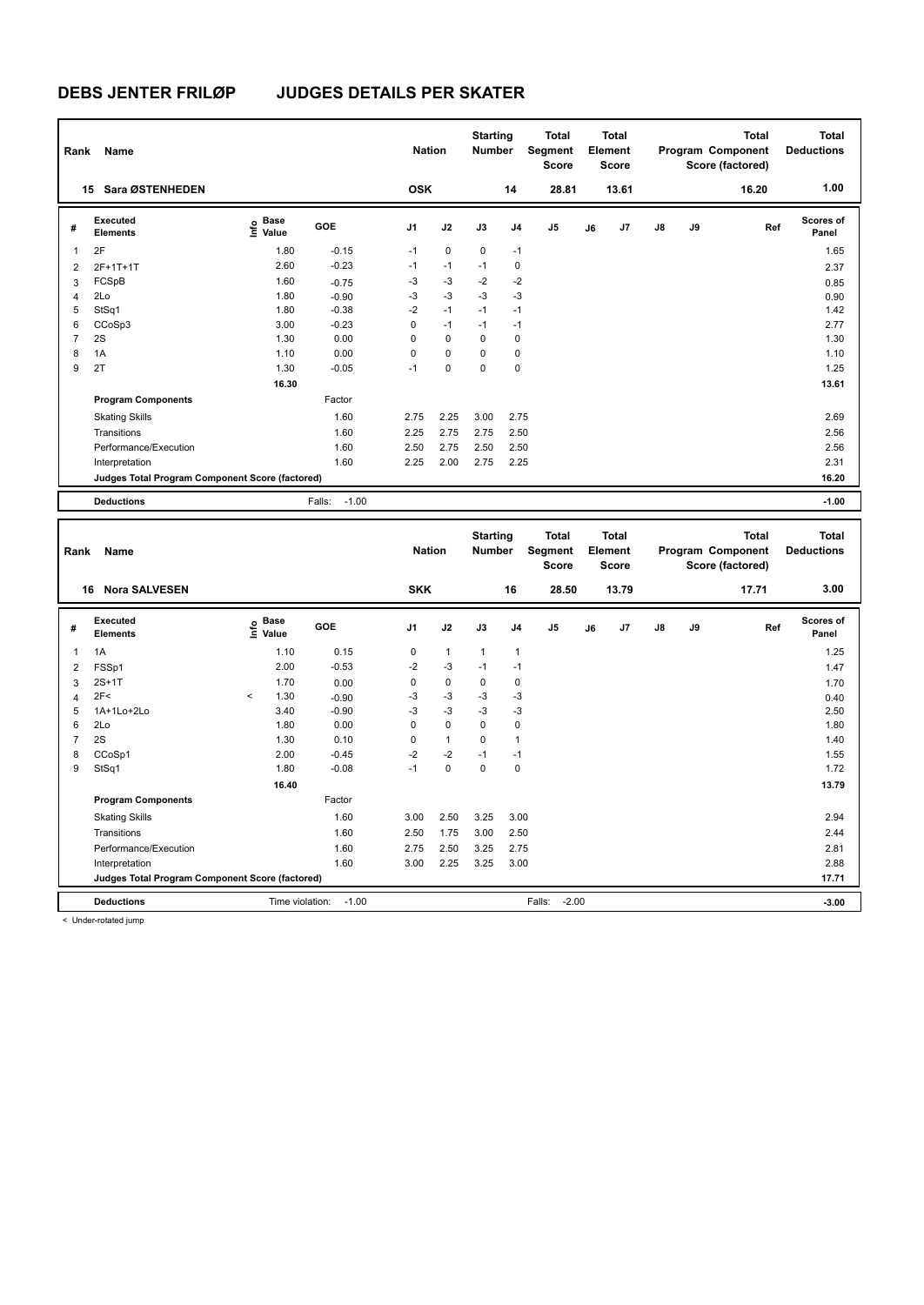| Rank           | Name                                            |                             |                   | <b>Nation</b> |              | <b>Starting</b><br><b>Number</b> |                | <b>Total</b><br>Segment<br><b>Score</b> |    | <b>Total</b><br>Element<br>Score        |               |    | <b>Total</b><br>Program Component<br>Score (factored) | <b>Total</b><br><b>Deductions</b> |
|----------------|-------------------------------------------------|-----------------------------|-------------------|---------------|--------------|----------------------------------|----------------|-----------------------------------------|----|-----------------------------------------|---------------|----|-------------------------------------------------------|-----------------------------------|
|                | 15 Sara ØSTENHEDEN                              |                             |                   | <b>OSK</b>    |              |                                  | 14             | 28.81                                   |    | 13.61                                   |               |    | 16.20                                                 | 1.00                              |
| #              | Executed<br><b>Elements</b>                     | Base<br>은 Base<br>트 Value   | <b>GOE</b>        | J1            | J2           | J3                               | J <sub>4</sub> | J <sub>5</sub>                          | J6 | J7                                      | $\mathsf{J}8$ | J9 | Ref                                                   | Scores of<br>Panel                |
| 1              | 2F                                              | 1.80                        | $-0.15$           | $-1$          | $\mathbf 0$  | $\mathbf 0$                      | $-1$           |                                         |    |                                         |               |    |                                                       | 1.65                              |
| 2              | 2F+1T+1T                                        | 2.60                        | $-0.23$           | $-1$          | $-1$         | $-1$                             | 0              |                                         |    |                                         |               |    |                                                       | 2.37                              |
| 3              | FCSpB                                           | 1.60                        | $-0.75$           | $-3$          | $-3$         | $-2$                             | $-2$           |                                         |    |                                         |               |    |                                                       | 0.85                              |
| $\overline{4}$ | 2Lo                                             | 1.80                        | $-0.90$           | -3            | $-3$         | $-3$                             | $-3$           |                                         |    |                                         |               |    |                                                       | 0.90                              |
| 5              | StSq1                                           | 1.80                        | $-0.38$           | $-2$          | $-1$         | $-1$                             | $-1$           |                                         |    |                                         |               |    |                                                       | 1.42                              |
| 6              | CCoSp3                                          | 3.00                        | $-0.23$           | $\Omega$      | $-1$         | $-1$                             | $-1$           |                                         |    |                                         |               |    |                                                       | 2.77                              |
| $\overline{7}$ | 2S                                              | 1.30                        | 0.00              | $\Omega$      | $\Omega$     | $\Omega$                         | 0              |                                         |    |                                         |               |    |                                                       | 1.30                              |
| 8              | 1A                                              | 1.10                        | 0.00              | $\Omega$      | $\mathbf 0$  | $\mathbf 0$                      | 0              |                                         |    |                                         |               |    |                                                       | 1.10                              |
| 9              | 2T                                              | 1.30                        | $-0.05$           | $-1$          | $\mathbf 0$  | $\mathbf{0}$                     | $\mathbf 0$    |                                         |    |                                         |               |    |                                                       | 1.25                              |
|                |                                                 | 16.30                       |                   |               |              |                                  |                |                                         |    |                                         |               |    |                                                       | 13.61                             |
|                | <b>Program Components</b>                       |                             | Factor            |               |              |                                  |                |                                         |    |                                         |               |    |                                                       |                                   |
|                | <b>Skating Skills</b>                           |                             | 1.60              | 2.75          | 2.25         | 3.00                             | 2.75           |                                         |    |                                         |               |    |                                                       | 2.69                              |
|                | Transitions                                     |                             | 1.60              | 2.25          | 2.75         | 2.75                             | 2.50           |                                         |    |                                         |               |    |                                                       | 2.56                              |
|                | Performance/Execution                           |                             | 1.60              | 2.50          | 2.75         | 2.50                             | 2.50           |                                         |    |                                         |               |    |                                                       | 2.56                              |
|                | Interpretation                                  |                             | 1.60              | 2.25          | 2.00         | 2.75                             | 2.25           |                                         |    |                                         |               |    |                                                       | 2.31                              |
|                | Judges Total Program Component Score (factored) |                             |                   |               |              |                                  |                |                                         |    |                                         |               |    |                                                       | 16.20                             |
|                |                                                 |                             |                   |               |              |                                  |                |                                         |    |                                         |               |    |                                                       |                                   |
|                | <b>Deductions</b>                               |                             | $-1.00$<br>Falls: |               |              |                                  |                |                                         |    |                                         |               |    |                                                       | $-1.00$                           |
| Rank           | Name                                            |                             |                   | <b>Nation</b> |              | <b>Starting</b><br><b>Number</b> |                | <b>Total</b><br>Segment<br>Score        |    | <b>Total</b><br>Element<br><b>Score</b> |               |    | <b>Total</b><br>Program Component<br>Score (factored) | <b>Total</b><br><b>Deductions</b> |
|                | 16 Nora SALVESEN                                |                             |                   | <b>SKK</b>    |              |                                  | 16             | 28.50                                   |    | 13.79                                   |               |    | 17.71                                                 | 3.00                              |
| #              | Executed<br><b>Elements</b>                     | <b>Base</b><br>١f٥<br>Value | GOE               | J1            | J2           | J3                               | J <sub>4</sub> | J <sub>5</sub>                          | J6 | J7                                      | $\mathsf{J}8$ | J9 | Ref                                                   | Scores of<br>Panel                |
| $\mathbf{1}$   | 1A                                              | 1.10                        | 0.15              | $\mathbf 0$   | $\mathbf{1}$ | $\mathbf{1}$                     | $\mathbf{1}$   |                                         |    |                                         |               |    |                                                       | 1.25                              |
| 2              | FSSp1                                           | 2.00                        | $-0.53$           | $-2$          | $-3$         | $-1$                             | $-1$           |                                         |    |                                         |               |    |                                                       | 1.47                              |
| 3              | $2S+1T$                                         | 1.70                        | 0.00              | 0             | 0            | 0                                | 0              |                                         |    |                                         |               |    |                                                       | 1.70                              |
| 4              | 2F<                                             | 1.30<br>$\hat{~}$           | $-0.90$           | $-3$          | $-3$         | $-3$                             | $-3$           |                                         |    |                                         |               |    |                                                       | 0.40                              |
| 5              | 1A+1Lo+2Lo                                      | 3.40                        | $-0.90$           | $-3$          | $-3$         | $-3$                             | $-3$           |                                         |    |                                         |               |    |                                                       | 2.50                              |

|   | <b>Deductions</b>                               | Time violation: | $-1.00$ |      |          |      | Falls: | $-2.00$ | $-3.00$ |
|---|-------------------------------------------------|-----------------|---------|------|----------|------|--------|---------|---------|
|   | Judges Total Program Component Score (factored) |                 |         |      |          |      |        |         | 17.71   |
|   | Interpretation                                  |                 | 1.60    | 3.00 | 2.25     | 3.25 | 3.00   |         | 2.88    |
|   | Performance/Execution                           |                 | 1.60    | 2.75 | 2.50     | 3.25 | 2.75   |         | 2.81    |
|   | Transitions                                     |                 | 1.60    | 2.50 | 1.75     | 3.00 | 2.50   |         | 2.44    |
|   | <b>Skating Skills</b>                           |                 | 1.60    | 3.00 | 2.50     | 3.25 | 3.00   |         | 2.94    |
|   | <b>Program Components</b>                       |                 | Factor  |      |          |      |        |         |         |
|   |                                                 | 16.40           |         |      |          |      |        |         | 13.79   |
| 9 | StSq1                                           | 1.80            | $-0.08$ | $-1$ | $\Omega$ | 0    | 0      |         | 1.72    |
| 8 | CCoSp1                                          | 2.00            | $-0.45$ | $-2$ | $-2$     | $-1$ | $-1$   |         | 1.55    |
|   | 2S                                              | 1.30            | 0.10    | 0    |          | 0    |        |         | 1.40    |
| 6 | 2Lo                                             | 1.80            | 0.00    | 0    | $\Omega$ | 0    | 0      |         | 1.80    |
| 5 | 1A+1Lo+2Lo                                      | 3.40            | $-0.90$ | -3   | $-3$     | -3   | -3     |         | 2.50    |

< Under-rotated jump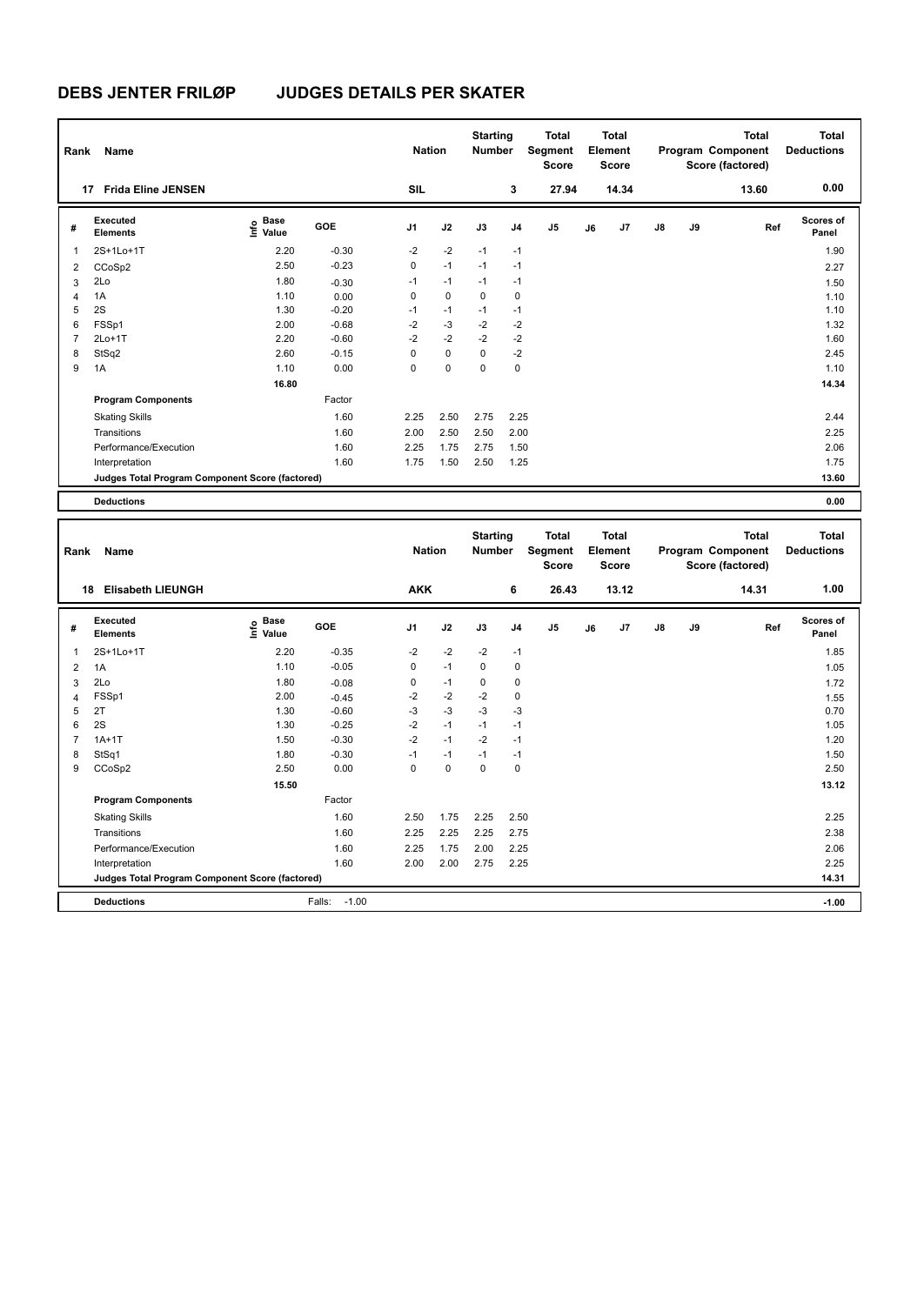| Rank           | Name                                            |                                  |         | <b>Nation</b> |             | <b>Starting</b><br><b>Number</b> |                | <b>Total</b><br>Segment<br><b>Score</b> |    | <b>Total</b><br>Element<br><b>Score</b> |               |    | <b>Total</b><br>Program Component<br>Score (factored) | <b>Total</b><br><b>Deductions</b> |
|----------------|-------------------------------------------------|----------------------------------|---------|---------------|-------------|----------------------------------|----------------|-----------------------------------------|----|-----------------------------------------|---------------|----|-------------------------------------------------------|-----------------------------------|
|                | <b>Frida Eline JENSEN</b><br>17                 |                                  |         | <b>SIL</b>    |             |                                  | 3              | 27.94                                   |    | 14.34                                   |               |    | 13.60                                                 | 0.00                              |
| #              | Executed<br><b>Elements</b>                     | <b>Base</b><br>e Base<br>⊆ Value | GOE     | J1            | J2          | J3                               | J <sub>4</sub> | J <sub>5</sub>                          | J6 | J7                                      | $\mathsf{J}8$ | J9 | Ref                                                   | Scores of<br>Panel                |
| 1              | 2S+1Lo+1T                                       | 2.20                             | $-0.30$ | $-2$          | $-2$        | $-1$                             | $-1$           |                                         |    |                                         |               |    |                                                       | 1.90                              |
| 2              | CCoSp2                                          | 2.50                             | $-0.23$ | 0             | $-1$        | $-1$                             | $-1$           |                                         |    |                                         |               |    |                                                       | 2.27                              |
| 3              | 2Lo                                             | 1.80                             | $-0.30$ | $-1$          | $-1$        | $-1$                             | $-1$           |                                         |    |                                         |               |    |                                                       | 1.50                              |
| 4              | 1A                                              | 1.10                             | 0.00    | 0             | $\mathbf 0$ | 0                                | $\mathbf 0$    |                                         |    |                                         |               |    |                                                       | 1.10                              |
| 5              | 2S                                              | 1.30                             | $-0.20$ | $-1$          | $-1$        | $-1$                             | $-1$           |                                         |    |                                         |               |    |                                                       | 1.10                              |
| 6              | FSSp1                                           | 2.00                             | $-0.68$ | $-2$          | $-3$        | $-2$                             | $-2$           |                                         |    |                                         |               |    |                                                       | 1.32                              |
| $\overline{7}$ | $2Lo+1T$                                        | 2.20                             | $-0.60$ | $-2$          | $-2$        | $-2$                             | $-2$           |                                         |    |                                         |               |    |                                                       | 1.60                              |
| 8              | StSq2                                           | 2.60                             | $-0.15$ | $\Omega$      | $\mathbf 0$ | $\Omega$                         | $-2$           |                                         |    |                                         |               |    |                                                       | 2.45                              |
| 9              | 1A                                              | 1.10                             | 0.00    | 0             | 0           | 0                                | 0              |                                         |    |                                         |               |    |                                                       | 1.10                              |
|                |                                                 | 16.80                            |         |               |             |                                  |                |                                         |    |                                         |               |    |                                                       | 14.34                             |
|                | <b>Program Components</b>                       |                                  | Factor  |               |             |                                  |                |                                         |    |                                         |               |    |                                                       |                                   |
|                | <b>Skating Skills</b>                           |                                  | 1.60    | 2.25          | 2.50        | 2.75                             | 2.25           |                                         |    |                                         |               |    |                                                       | 2.44                              |
|                | Transitions                                     |                                  | 1.60    | 2.00          | 2.50        | 2.50                             | 2.00           |                                         |    |                                         |               |    |                                                       | 2.25                              |
|                | Performance/Execution                           |                                  | 1.60    | 2.25          | 1.75        | 2.75                             | 1.50           |                                         |    |                                         |               |    |                                                       | 2.06                              |
|                | Interpretation                                  |                                  | 1.60    | 1.75          | 1.50        | 2.50                             | 1.25           |                                         |    |                                         |               |    |                                                       | 1.75                              |
|                | Judges Total Program Component Score (factored) |                                  |         |               |             |                                  |                |                                         |    |                                         |               |    |                                                       | 13.60                             |
|                | <b>Deductions</b>                               |                                  |         |               |             |                                  |                |                                         |    |                                         |               |    |                                                       | 0.00                              |
|                |                                                 |                                  |         |               |             |                                  |                |                                         |    |                                         |               |    |                                                       |                                   |
| Rank           | Name                                            |                                  |         | <b>Nation</b> |             | <b>Starting</b><br><b>Number</b> |                | <b>Total</b><br>Segment                 |    | <b>Total</b><br>Element                 |               |    | <b>Total</b><br>Program Component                     | <b>Total</b><br><b>Deductions</b> |

| Rank           | Name                                            |                                  |                   | <b>Nation</b>  |             | <b>Number</b> |                | Segment<br>Score |    | Element<br><b>Score</b> |               |    | Program Component<br>Score (factored) | <b>Deductions</b>         |
|----------------|-------------------------------------------------|----------------------------------|-------------------|----------------|-------------|---------------|----------------|------------------|----|-------------------------|---------------|----|---------------------------------------|---------------------------|
| 18             | <b>Elisabeth LIEUNGH</b>                        |                                  |                   | <b>AKK</b>     |             |               | 6              | 26.43            |    | 13.12                   |               |    | 14.31                                 | 1.00                      |
| #              | Executed<br><b>Elements</b>                     | <b>Base</b><br>e Base<br>⊆ Value | <b>GOE</b>        | J <sub>1</sub> | J2          | J3            | J <sub>4</sub> | J <sub>5</sub>   | J6 | J7                      | $\mathsf{J}8$ | J9 | Ref                                   | <b>Scores of</b><br>Panel |
| 1              | 2S+1Lo+1T                                       | 2.20                             | $-0.35$           | $-2$           | $-2$        | $-2$          | $-1$           |                  |    |                         |               |    |                                       | 1.85                      |
| $\overline{2}$ | 1A                                              | 1.10                             | $-0.05$           | 0              | $-1$        | 0             | 0              |                  |    |                         |               |    |                                       | 1.05                      |
| 3              | 2Lo                                             | 1.80                             | $-0.08$           | 0              | $-1$        | 0             | 0              |                  |    |                         |               |    |                                       | 1.72                      |
| $\overline{4}$ | FSSp1                                           | 2.00                             | $-0.45$           | $-2$           | $-2$        | $-2$          | 0              |                  |    |                         |               |    |                                       | 1.55                      |
| 5              | 2T                                              | 1.30                             | $-0.60$           | $-3$           | $-3$        | $-3$          | $-3$           |                  |    |                         |               |    |                                       | 0.70                      |
| 6              | 2S                                              | 1.30                             | $-0.25$           | $-2$           | $-1$        | $-1$          | $-1$           |                  |    |                         |               |    |                                       | 1.05                      |
| 7              | $1A+1T$                                         | 1.50                             | $-0.30$           | $-2$           | $-1$        | $-2$          | -1             |                  |    |                         |               |    |                                       | 1.20                      |
| 8              | StSq1                                           | 1.80                             | $-0.30$           | $-1$           | $-1$        | $-1$          | -1             |                  |    |                         |               |    |                                       | 1.50                      |
| 9              | CCoSp2                                          | 2.50                             | 0.00              | 0              | $\mathbf 0$ | $\mathbf 0$   | $\mathbf 0$    |                  |    |                         |               |    |                                       | 2.50                      |
|                |                                                 | 15.50                            |                   |                |             |               |                |                  |    |                         |               |    |                                       | 13.12                     |
|                | <b>Program Components</b>                       |                                  | Factor            |                |             |               |                |                  |    |                         |               |    |                                       |                           |
|                | <b>Skating Skills</b>                           |                                  | 1.60              | 2.50           | 1.75        | 2.25          | 2.50           |                  |    |                         |               |    |                                       | 2.25                      |
|                | Transitions                                     |                                  | 1.60              | 2.25           | 2.25        | 2.25          | 2.75           |                  |    |                         |               |    |                                       | 2.38                      |
|                | Performance/Execution                           |                                  | 1.60              | 2.25           | 1.75        | 2.00          | 2.25           |                  |    |                         |               |    |                                       | 2.06                      |
|                | Interpretation                                  |                                  | 1.60              | 2.00           | 2.00        | 2.75          | 2.25           |                  |    |                         |               |    |                                       | 2.25                      |
|                | Judges Total Program Component Score (factored) |                                  |                   |                |             |               |                |                  |    |                         |               |    |                                       | 14.31                     |
|                | <b>Deductions</b>                               |                                  | $-1.00$<br>Falls: |                |             |               |                |                  |    |                         |               |    |                                       | $-1.00$                   |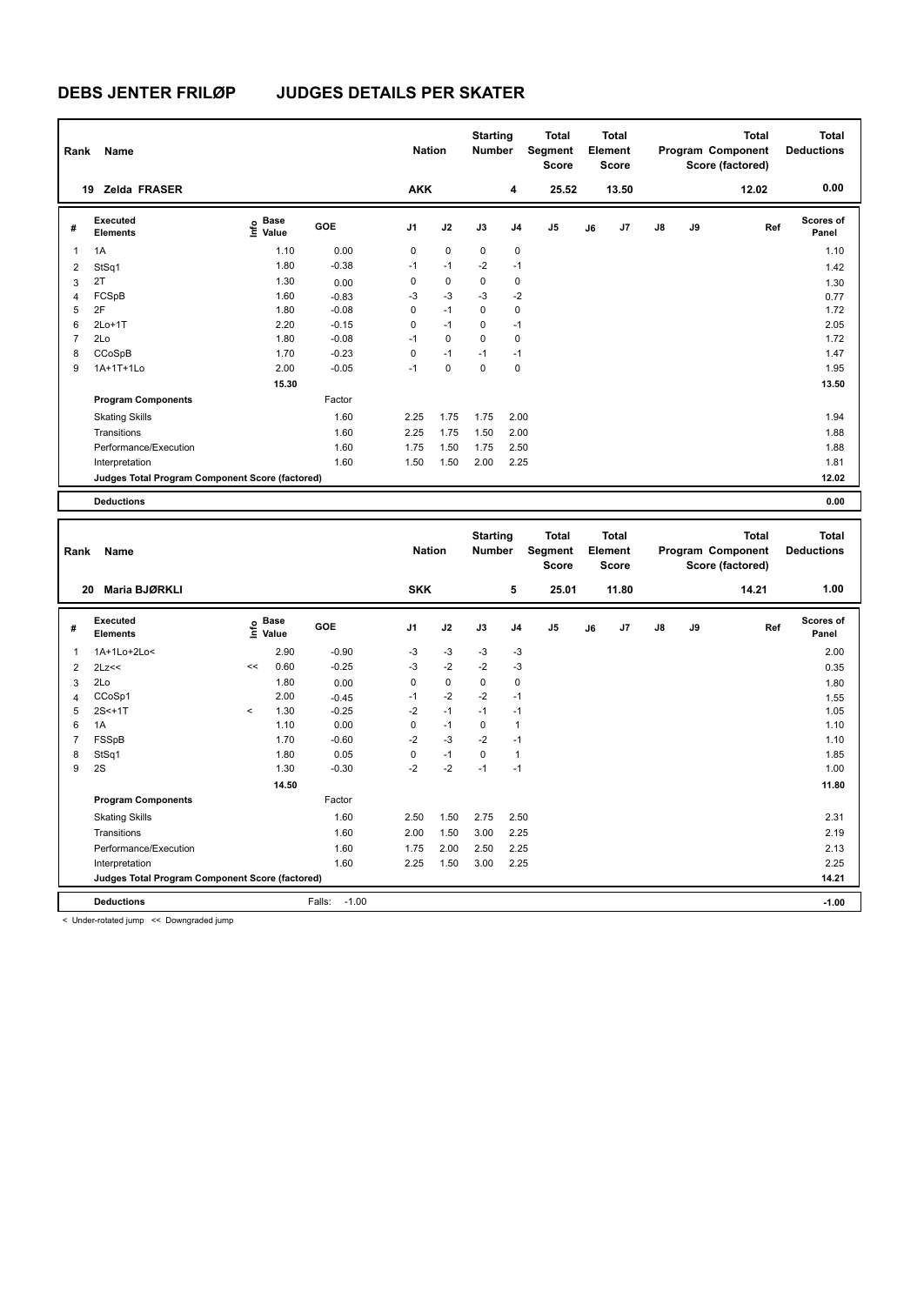| Rank           | Name                                            |                           |         | <b>Nation</b> |             | <b>Starting</b><br><b>Number</b> |      | <b>Total</b><br>Segment<br><b>Score</b> |    | Total<br>Element<br><b>Score</b> |               |    | <b>Total</b><br>Program Component<br>Score (factored) | <b>Total</b><br><b>Deductions</b> |
|----------------|-------------------------------------------------|---------------------------|---------|---------------|-------------|----------------------------------|------|-----------------------------------------|----|----------------------------------|---------------|----|-------------------------------------------------------|-----------------------------------|
| 19             | <b>Zelda FRASER</b>                             |                           |         | <b>AKK</b>    |             |                                  | 4    | 25.52                                   |    | 13.50                            |               |    | 12.02                                                 | 0.00                              |
| #              | Executed<br><b>Elements</b>                     | Base<br>e Base<br>⊆ Value | GOE     | J1            | J2          | J3                               | J4   | J <sub>5</sub>                          | J6 | J7                               | $\mathsf{J}8$ | J9 | Ref                                                   | <b>Scores of</b><br>Panel         |
| $\mathbf 1$    | 1A                                              | 1.10                      | 0.00    | 0             | $\pmb{0}$   | $\mathbf 0$                      | 0    |                                         |    |                                  |               |    |                                                       | 1.10                              |
| $\overline{2}$ | StSq1                                           | 1.80                      | $-0.38$ | $-1$          | $-1$        | $-2$                             | $-1$ |                                         |    |                                  |               |    |                                                       | 1.42                              |
| 3              | 2T                                              | 1.30                      | 0.00    | 0             | $\pmb{0}$   | 0                                | 0    |                                         |    |                                  |               |    |                                                       | 1.30                              |
| 4              | FCSpB                                           | 1.60                      | $-0.83$ | $-3$          | $-3$        | $-3$                             | $-2$ |                                         |    |                                  |               |    |                                                       | 0.77                              |
| 5              | 2F                                              | 1.80                      | $-0.08$ | 0             | $-1$        | 0                                | 0    |                                         |    |                                  |               |    |                                                       | 1.72                              |
| 6              | $2Lo+1T$                                        | 2.20                      | $-0.15$ | 0             | $-1$        | $\Omega$                         | $-1$ |                                         |    |                                  |               |    |                                                       | 2.05                              |
| $\overline{7}$ | 2Lo                                             | 1.80                      | $-0.08$ | $-1$          | $\mathbf 0$ | $\Omega$                         | 0    |                                         |    |                                  |               |    |                                                       | 1.72                              |
| 8              | CCoSpB                                          | 1.70                      | $-0.23$ | 0             | $-1$        | $-1$                             | $-1$ |                                         |    |                                  |               |    |                                                       | 1.47                              |
| 9              | 1A+1T+1Lo                                       | 2.00                      | $-0.05$ | $-1$          | $\mathbf 0$ | 0                                | 0    |                                         |    |                                  |               |    |                                                       | 1.95                              |
|                |                                                 | 15.30                     |         |               |             |                                  |      |                                         |    |                                  |               |    |                                                       | 13.50                             |
|                | <b>Program Components</b>                       |                           | Factor  |               |             |                                  |      |                                         |    |                                  |               |    |                                                       |                                   |
|                | <b>Skating Skills</b>                           |                           | 1.60    | 2.25          | 1.75        | 1.75                             | 2.00 |                                         |    |                                  |               |    |                                                       | 1.94                              |
|                | Transitions                                     |                           | 1.60    | 2.25          | 1.75        | 1.50                             | 2.00 |                                         |    |                                  |               |    |                                                       | 1.88                              |
|                | Performance/Execution                           |                           | 1.60    | 1.75          | 1.50        | 1.75                             | 2.50 |                                         |    |                                  |               |    |                                                       | 1.88                              |
|                | Interpretation                                  |                           | 1.60    | 1.50          | 1.50        | 2.00                             | 2.25 |                                         |    |                                  |               |    |                                                       | 1.81                              |
|                | Judges Total Program Component Score (factored) |                           |         |               |             |                                  |      |                                         |    |                                  |               |    |                                                       | 12.02                             |
|                | <b>Deductions</b>                               |                           |         |               |             |                                  |      |                                         |    |                                  |               |    |                                                       | 0.00                              |

| Rank           | Name                                            |         |                      |                   | <b>Nation</b>  |             | <b>Starting</b><br><b>Number</b> |                | <b>Total</b><br>Segment<br><b>Score</b> |    | <b>Total</b><br>Element<br><b>Score</b> |               |    | <b>Total</b><br>Program Component<br>Score (factored) | <b>Total</b><br><b>Deductions</b> |
|----------------|-------------------------------------------------|---------|----------------------|-------------------|----------------|-------------|----------------------------------|----------------|-----------------------------------------|----|-----------------------------------------|---------------|----|-------------------------------------------------------|-----------------------------------|
|                | Maria BJØRKLI<br>20                             |         |                      |                   | <b>SKK</b>     |             |                                  | 5              | 25.01                                   |    | 11.80                                   |               |    | 14.21                                                 | 1.00                              |
| #              | Executed<br><b>Elements</b>                     | ١nf٥    | <b>Base</b><br>Value | GOE               | J <sub>1</sub> | J2          | J3                               | J <sub>4</sub> | J <sub>5</sub>                          | J6 | J7                                      | $\mathsf{J}8$ | J9 | Ref                                                   | <b>Scores of</b><br>Panel         |
| 1              | 1A+1Lo+2Lo<                                     |         | 2.90                 | $-0.90$           | $-3$           | $-3$        | $-3$                             | $-3$           |                                         |    |                                         |               |    |                                                       | 2.00                              |
| 2              | 2Lz<<                                           | <<      | 0.60                 | $-0.25$           | $-3$           | $-2$        | $-2$                             | $-3$           |                                         |    |                                         |               |    |                                                       | 0.35                              |
| 3              | 2Lo                                             |         | 1.80                 | 0.00              | 0              | $\mathbf 0$ | 0                                | 0              |                                         |    |                                         |               |    |                                                       | 1.80                              |
| 4              | CCoSp1                                          |         | 2.00                 | $-0.45$           | $-1$           | $-2$        | $-2$                             | $-1$           |                                         |    |                                         |               |    |                                                       | 1.55                              |
| 5              | $2S < +1T$                                      | $\prec$ | 1.30                 | $-0.25$           | $-2$           | $-1$        | $-1$                             | $-1$           |                                         |    |                                         |               |    |                                                       | 1.05                              |
| 6              | 1A                                              |         | 1.10                 | 0.00              | 0              | $-1$        | 0                                | $\mathbf{1}$   |                                         |    |                                         |               |    |                                                       | 1.10                              |
| $\overline{7}$ | FSSpB                                           |         | 1.70                 | $-0.60$           | $-2$           | $-3$        | $-2$                             | $-1$           |                                         |    |                                         |               |    |                                                       | 1.10                              |
| 8              | StSq1                                           |         | 1.80                 | 0.05              | 0              | $-1$        | 0                                | $\mathbf{1}$   |                                         |    |                                         |               |    |                                                       | 1.85                              |
| 9              | 2S                                              |         | 1.30                 | $-0.30$           | $-2$           | $-2$        | $-1$                             | $-1$           |                                         |    |                                         |               |    |                                                       | 1.00                              |
|                |                                                 |         | 14.50                |                   |                |             |                                  |                |                                         |    |                                         |               |    |                                                       | 11.80                             |
|                | <b>Program Components</b>                       |         |                      | Factor            |                |             |                                  |                |                                         |    |                                         |               |    |                                                       |                                   |
|                | <b>Skating Skills</b>                           |         |                      | 1.60              | 2.50           | 1.50        | 2.75                             | 2.50           |                                         |    |                                         |               |    |                                                       | 2.31                              |
|                | Transitions                                     |         |                      | 1.60              | 2.00           | 1.50        | 3.00                             | 2.25           |                                         |    |                                         |               |    |                                                       | 2.19                              |
|                | Performance/Execution                           |         |                      | 1.60              | 1.75           | 2.00        | 2.50                             | 2.25           |                                         |    |                                         |               |    |                                                       | 2.13                              |
|                | Interpretation                                  |         |                      | 1.60              | 2.25           | 1.50        | 3.00                             | 2.25           |                                         |    |                                         |               |    |                                                       | 2.25                              |
|                | Judges Total Program Component Score (factored) |         |                      |                   |                |             |                                  |                |                                         |    |                                         |               |    |                                                       | 14.21                             |
|                | <b>Deductions</b>                               |         |                      | $-1.00$<br>Falls: |                |             |                                  |                |                                         |    |                                         |               |    |                                                       | $-1.00$                           |

< Under-rotated jump << Downgraded jump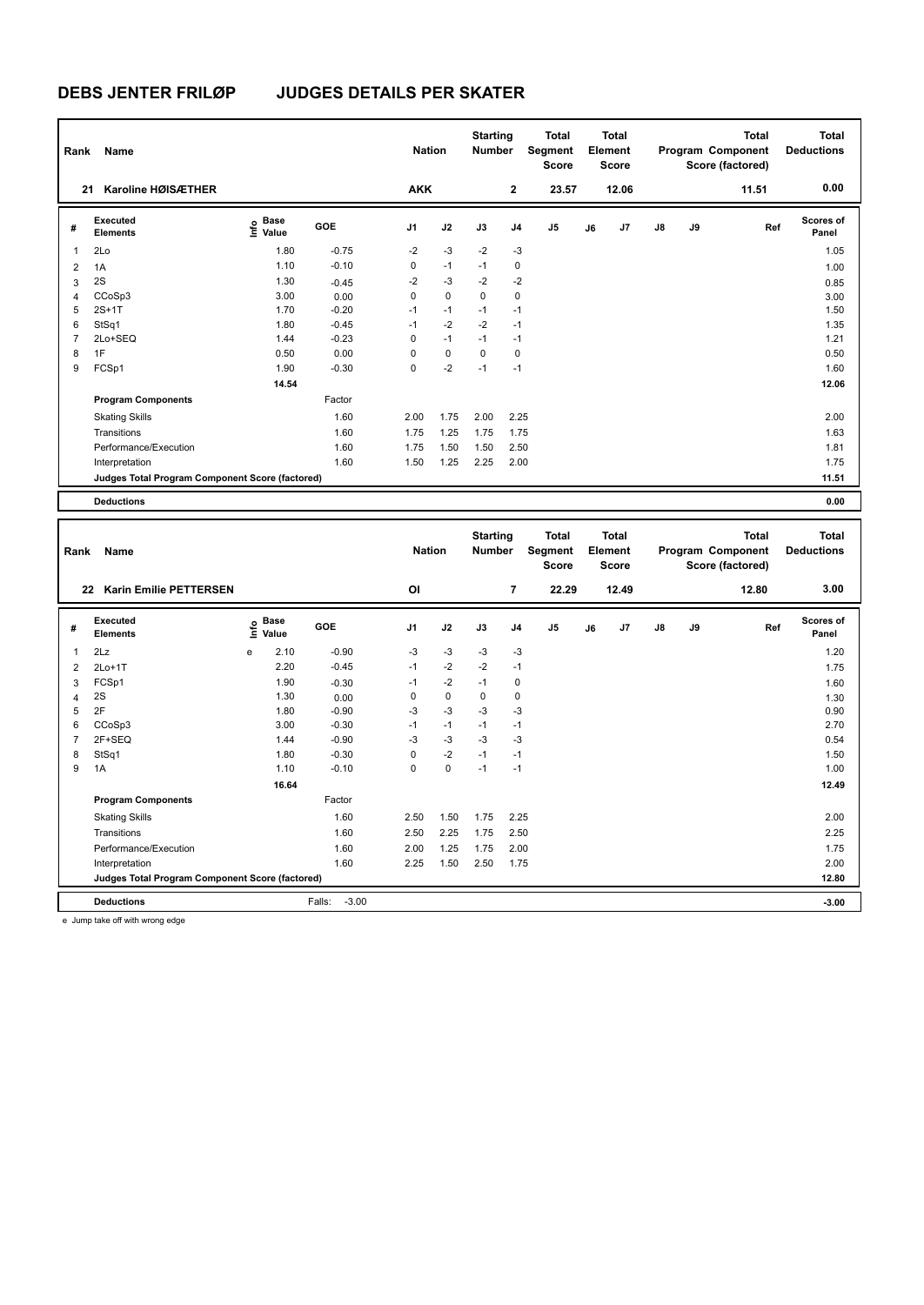| Rank | Name                                            |                                  |            | <b>Nation</b>  |      | <b>Starting</b><br><b>Number</b> |                | <b>Total</b><br>Segment<br><b>Score</b> |    | <b>Total</b><br>Element<br><b>Score</b> |    |    | <b>Total</b><br>Program Component<br>Score (factored) | <b>Total</b><br><b>Deductions</b> |
|------|-------------------------------------------------|----------------------------------|------------|----------------|------|----------------------------------|----------------|-----------------------------------------|----|-----------------------------------------|----|----|-------------------------------------------------------|-----------------------------------|
|      | Karoline HØISÆTHER<br>21                        |                                  |            | <b>AKK</b>     |      |                                  | $\mathbf{2}$   | 23.57                                   |    | 12.06                                   |    |    | 11.51                                                 | 0.00                              |
| #    | Executed<br><b>Elements</b>                     | <b>Base</b><br>e Base<br>E Value | <b>GOE</b> | J <sub>1</sub> | J2   | J3                               | J <sub>4</sub> | J <sub>5</sub>                          | J6 | J7                                      | J8 | J9 | Ref                                                   | <b>Scores of</b><br>Panel         |
| 1    | 2Lo                                             | 1.80                             | $-0.75$    | $-2$           | $-3$ | $-2$                             | $-3$           |                                         |    |                                         |    |    |                                                       | 1.05                              |
| 2    | 1A                                              | 1.10                             | $-0.10$    | 0              | $-1$ | $-1$                             | 0              |                                         |    |                                         |    |    |                                                       | 1.00                              |
| 3    | 2S                                              | 1.30                             | $-0.45$    | $-2$           | $-3$ | $-2$                             | $-2$           |                                         |    |                                         |    |    |                                                       | 0.85                              |
| 4    | CCoSp3                                          | 3.00                             | 0.00       | 0              | 0    | 0                                | 0              |                                         |    |                                         |    |    |                                                       | 3.00                              |
| 5    | $2S+1T$                                         | 1.70                             | $-0.20$    | $-1$           | $-1$ | $-1$                             | $-1$           |                                         |    |                                         |    |    |                                                       | 1.50                              |
| 6    | StSq1                                           | 1.80                             | $-0.45$    | $-1$           | $-2$ | $-2$                             | $-1$           |                                         |    |                                         |    |    |                                                       | 1.35                              |
| 7    | 2Lo+SEQ                                         | 1.44                             | $-0.23$    | 0              | $-1$ | $-1$                             | $-1$           |                                         |    |                                         |    |    |                                                       | 1.21                              |
| 8    | 1F                                              | 0.50                             | 0.00       | 0              | 0    | 0                                | 0              |                                         |    |                                         |    |    |                                                       | 0.50                              |
| 9    | FCSp1                                           | 1.90                             | $-0.30$    | 0              | $-2$ | $-1$                             | $-1$           |                                         |    |                                         |    |    |                                                       | 1.60                              |
|      |                                                 | 14.54                            |            |                |      |                                  |                |                                         |    |                                         |    |    |                                                       | 12.06                             |
|      | <b>Program Components</b>                       |                                  | Factor     |                |      |                                  |                |                                         |    |                                         |    |    |                                                       |                                   |
|      | <b>Skating Skills</b>                           |                                  | 1.60       | 2.00           | 1.75 | 2.00                             | 2.25           |                                         |    |                                         |    |    |                                                       | 2.00                              |
|      | Transitions                                     |                                  | 1.60       | 1.75           | 1.25 | 1.75                             | 1.75           |                                         |    |                                         |    |    |                                                       | 1.63                              |
|      | Performance/Execution                           |                                  | 1.60       | 1.75           | 1.50 | 1.50                             | 2.50           |                                         |    |                                         |    |    |                                                       | 1.81                              |
|      | Interpretation                                  |                                  | 1.60       | 1.50           | 1.25 | 2.25                             | 2.00           |                                         |    |                                         |    |    |                                                       | 1.75                              |
|      | Judges Total Program Component Score (factored) |                                  |            |                |      |                                  |                |                                         |    |                                         |    |    |                                                       | 11.51                             |
|      | <b>Deductions</b>                               |                                  |            |                |      |                                  |                |                                         |    |                                         |    |    |                                                       | 0.00                              |
|      |                                                 |                                  |            |                |      |                                  |                |                                         |    |                                         |    |    |                                                       |                                   |
| Rank | Name                                            |                                  |            | <b>Nation</b>  |      | <b>Starting</b><br><b>Number</b> |                | <b>Total</b><br>Segment<br><b>Score</b> |    | <b>Total</b><br>Element<br>Score        |    |    | <b>Total</b><br>Program Component<br>Score (factored) | <b>Total</b><br><b>Deductions</b> |
|      | 22 Karin Emilia DETTEDCEN                       |                                  |            | $\sim$         |      |                                  | $\overline{ }$ | <b>22.20</b>                            |    | 12.40                                   |    |    | 42.90                                                 | 3 UU                              |

|                | Karin Emilie PETTERSEN<br>22                    |                             |                   | OI             |      |      | 7              | 22.29          |    | 12.49 |               |    | 12.80 | 3.00                      |
|----------------|-------------------------------------------------|-----------------------------|-------------------|----------------|------|------|----------------|----------------|----|-------|---------------|----|-------|---------------------------|
| #              | Executed<br><b>Elements</b>                     | Base<br>$\frac{6}{5}$ Value | GOE               | J <sub>1</sub> | J2   | J3   | J <sub>4</sub> | J <sub>5</sub> | J6 | J7    | $\mathsf{J}8$ | J9 | Ref   | <b>Scores of</b><br>Panel |
|                | 2Lz                                             | 2.10<br>e                   | $-0.90$           | $-3$           | $-3$ | $-3$ | $-3$           |                |    |       |               |    |       | 1.20                      |
| $\overline{2}$ | $2Lo+1T$                                        | 2.20                        | $-0.45$           | $-1$           | $-2$ | $-2$ | $-1$           |                |    |       |               |    |       | 1.75                      |
| 3              | FCSp1                                           | 1.90                        | $-0.30$           | $-1$           | $-2$ | $-1$ | 0              |                |    |       |               |    |       | 1.60                      |
|                | 2S                                              | 1.30                        | 0.00              | 0              | 0    | 0    | 0              |                |    |       |               |    |       | 1.30                      |
| 5              | 2F                                              | 1.80                        | $-0.90$           | $-3$           | $-3$ | $-3$ | $-3$           |                |    |       |               |    |       | 0.90                      |
| 6              | CCoSp3                                          | 3.00                        | $-0.30$           | $-1$           | $-1$ | $-1$ | $-1$           |                |    |       |               |    |       | 2.70                      |
|                | 2F+SEQ                                          | 1.44                        | $-0.90$           | $-3$           | $-3$ | $-3$ | -3             |                |    |       |               |    |       | 0.54                      |
| 8              | StSq1                                           | 1.80                        | $-0.30$           | $\mathbf 0$    | $-2$ | $-1$ | $-1$           |                |    |       |               |    |       | 1.50                      |
| 9              | 1A                                              | 1.10                        | $-0.10$           | 0              | 0    | $-1$ | $-1$           |                |    |       |               |    |       | 1.00                      |
|                |                                                 | 16.64                       |                   |                |      |      |                |                |    |       |               |    |       | 12.49                     |
|                | <b>Program Components</b>                       |                             | Factor            |                |      |      |                |                |    |       |               |    |       |                           |
|                | <b>Skating Skills</b>                           |                             | 1.60              | 2.50           | 1.50 | 1.75 | 2.25           |                |    |       |               |    |       | 2.00                      |
|                | Transitions                                     |                             | 1.60              | 2.50           | 2.25 | 1.75 | 2.50           |                |    |       |               |    |       | 2.25                      |
|                | Performance/Execution                           |                             | 1.60              | 2.00           | 1.25 | 1.75 | 2.00           |                |    |       |               |    |       | 1.75                      |
|                | Interpretation                                  |                             | 1.60              | 2.25           | 1.50 | 2.50 | 1.75           |                |    |       |               |    |       | 2.00                      |
|                | Judges Total Program Component Score (factored) |                             |                   |                |      |      |                |                |    |       |               |    |       | 12.80                     |
|                | <b>Deductions</b>                               |                             | $-3.00$<br>Falls: |                |      |      |                |                |    |       |               |    |       | $-3.00$                   |

e Jump take off with wrong edge